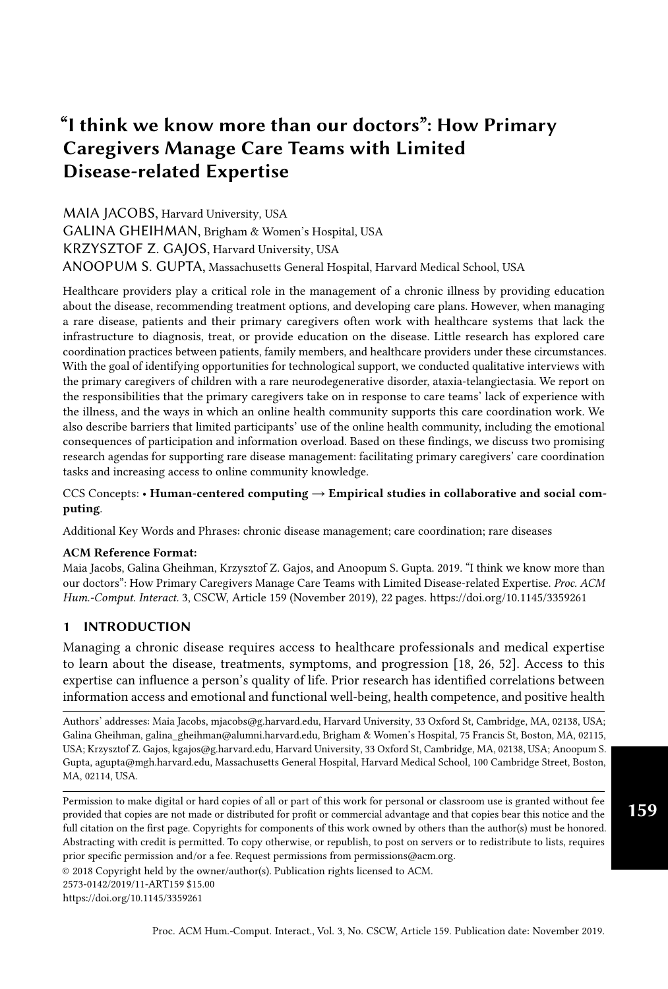# "I think we know more than our doctors": How Primary Caregivers Manage Care Teams with Limited Disease-related Expertise

MAIA JACOBS, Harvard University, USA GALINA GHEIHMAN, Brigham & Women's Hospital, USA KRZYSZTOF Z. GAJOS, Harvard University, USA ANOOPUM S. GUPTA, Massachusetts General Hospital, Harvard Medical School, USA

Healthcare providers play a critical role in the management of a chronic illness by providing education about the disease, recommending treatment options, and developing care plans. However, when managing a rare disease, patients and their primary caregivers often work with healthcare systems that lack the infrastructure to diagnosis, treat, or provide education on the disease. Little research has explored care coordination practices between patients, family members, and healthcare providers under these circumstances. With the goal of identifying opportunities for technological support, we conducted qualitative interviews with the primary caregivers of children with a rare neurodegenerative disorder, ataxia-telangiectasia. We report on the responsibilities that the primary caregivers take on in response to care teams' lack of experience with the illness, and the ways in which an online health community supports this care coordination work. We also describe barriers that limited participants' use of the online health community, including the emotional consequences of participation and information overload. Based on these findings, we discuss two promising research agendas for supporting rare disease management: facilitating primary caregivers' care coordination tasks and increasing access to online community knowledge.

#### CCS Concepts: • Human-centered computing  $\rightarrow$  Empirical studies in collaborative and social computing.

Additional Key Words and Phrases: chronic disease management; care coordination; rare diseases

#### ACM Reference Format:

Maia Jacobs, Galina Gheihman, Krzysztof Z. Gajos, and Anoopum S. Gupta. 2019. "I think we know more than our doctors": How Primary Caregivers Manage Care Teams with Limited Disease-related Expertise. Proc. ACM Hum.-Comput. Interact. 3, CSCW, Article 159 (November 2019), [22](#page-21-0) pages.<https://doi.org/10.1145/3359261>

# 1 INTRODUCTION

Managing a chronic disease requires access to healthcare professionals and medical expertise to learn about the disease, treatments, symptoms, and progression [\[18,](#page-18-0) [26,](#page-19-0) [52\]](#page-20-0). Access to this expertise can influence a person's quality of life. Prior research has identified correlations between information access and emotional and functional well-being, health competence, and positive health

Authors' addresses: Maia Jacobs, mjacobs@g.harvard.edu, Harvard University, 33 Oxford St, Cambridge, MA, 02138, USA; Galina Gheihman, galina\_gheihman@alumni.harvard.edu, Brigham & Women's Hospital, 75 Francis St, Boston, MA, 02115, USA; Krzysztof Z. Gajos, kgajos@g.harvard.edu, Harvard University, 33 Oxford St, Cambridge, MA, 02138, USA; Anoopum S. Gupta, agupta@mgh.harvard.edu, Massachusetts General Hospital, Harvard Medical School, 100 Cambridge Street, Boston, MA, 02114, USA.

Permission to make digital or hard copies of all or part of this work for personal or classroom use is granted without fee provided that copies are not made or distributed for profit or commercial advantage and that copies bear this notice and the full citation on the first page. Copyrights for components of this work owned by others than the author(s) must be honored. Abstracting with credit is permitted. To copy otherwise, or republish, to post on servers or to redistribute to lists, requires prior specific permission and/or a fee. Request permissions from permissions@acm.org.

© 2018 Copyright held by the owner/author(s). Publication rights licensed to ACM.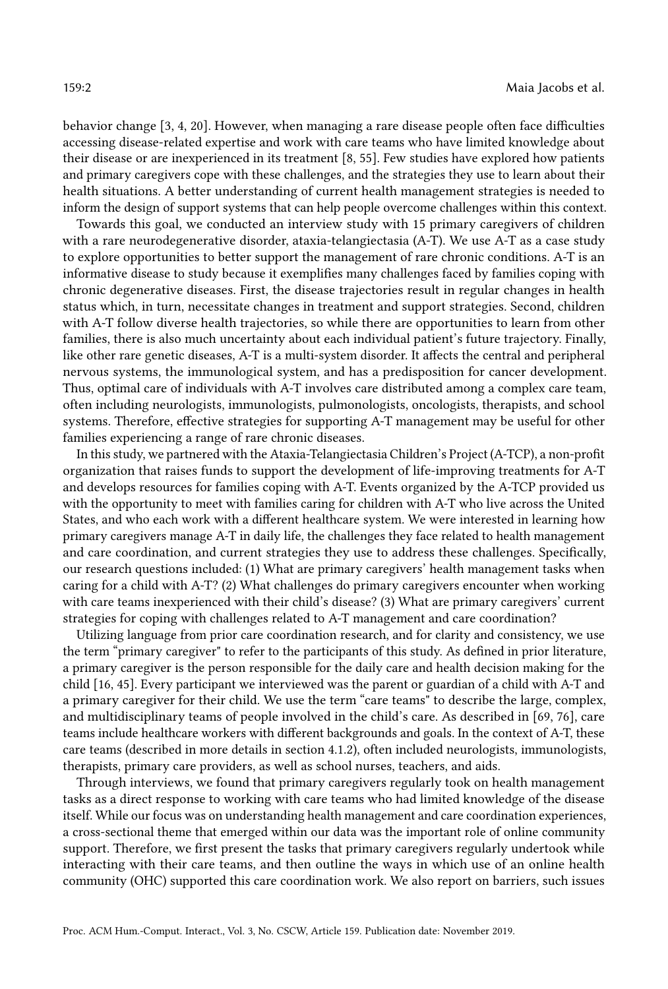behavior change [\[3,](#page-18-1) [4,](#page-18-2) [20\]](#page-19-1). However, when managing a rare disease people often face difficulties accessing disease-related expertise and work with care teams who have limited knowledge about their disease or are inexperienced in its treatment [\[8,](#page-18-3) [55\]](#page-20-1). Few studies have explored how patients and primary caregivers cope with these challenges, and the strategies they use to learn about their health situations. A better understanding of current health management strategies is needed to inform the design of support systems that can help people overcome challenges within this context.

Towards this goal, we conducted an interview study with 15 primary caregivers of children with a rare neurodegenerative disorder, ataxia-telangiectasia (A-T). We use A-T as a case study to explore opportunities to better support the management of rare chronic conditions. A-T is an informative disease to study because it exemplifies many challenges faced by families coping with chronic degenerative diseases. First, the disease trajectories result in regular changes in health status which, in turn, necessitate changes in treatment and support strategies. Second, children with A-T follow diverse health trajectories, so while there are opportunities to learn from other families, there is also much uncertainty about each individual patient's future trajectory. Finally, like other rare genetic diseases, A-T is a multi-system disorder. It affects the central and peripheral nervous systems, the immunological system, and has a predisposition for cancer development. Thus, optimal care of individuals with A-T involves care distributed among a complex care team, often including neurologists, immunologists, pulmonologists, oncologists, therapists, and school systems. Therefore, effective strategies for supporting A-T management may be useful for other families experiencing a range of rare chronic diseases.

In this study, we partnered with the Ataxia-Telangiectasia Children's Project (A-TCP), a non-profit organization that raises funds to support the development of life-improving treatments for A-T and develops resources for families coping with A-T. Events organized by the A-TCP provided us with the opportunity to meet with families caring for children with A-T who live across the United States, and who each work with a different healthcare system. We were interested in learning how primary caregivers manage A-T in daily life, the challenges they face related to health management and care coordination, and current strategies they use to address these challenges. Specifically, our research questions included: (1) What are primary caregivers' health management tasks when caring for a child with A-T? (2) What challenges do primary caregivers encounter when working with care teams inexperienced with their child's disease? (3) What are primary caregivers' current strategies for coping with challenges related to A-T management and care coordination?

Utilizing language from prior care coordination research, and for clarity and consistency, we use the term "primary caregiver" to refer to the participants of this study. As defined in prior literature, a primary caregiver is the person responsible for the daily care and health decision making for the child [\[16,](#page-18-4) [45\]](#page-20-2). Every participant we interviewed was the parent or guardian of a child with A-T and a primary caregiver for their child. We use the term "care teams" to describe the large, complex, and multidisciplinary teams of people involved in the child's care. As described in [\[69,](#page-21-1) [76\]](#page-21-2), care teams include healthcare workers with different backgrounds and goals. In the context of A-T, these care teams (described in more details in section [4.1.2\)](#page-5-0), often included neurologists, immunologists, therapists, primary care providers, as well as school nurses, teachers, and aids.

Through interviews, we found that primary caregivers regularly took on health management tasks as a direct response to working with care teams who had limited knowledge of the disease itself. While our focus was on understanding health management and care coordination experiences, a cross-sectional theme that emerged within our data was the important role of online community support. Therefore, we first present the tasks that primary caregivers regularly undertook while interacting with their care teams, and then outline the ways in which use of an online health community (OHC) supported this care coordination work. We also report on barriers, such issues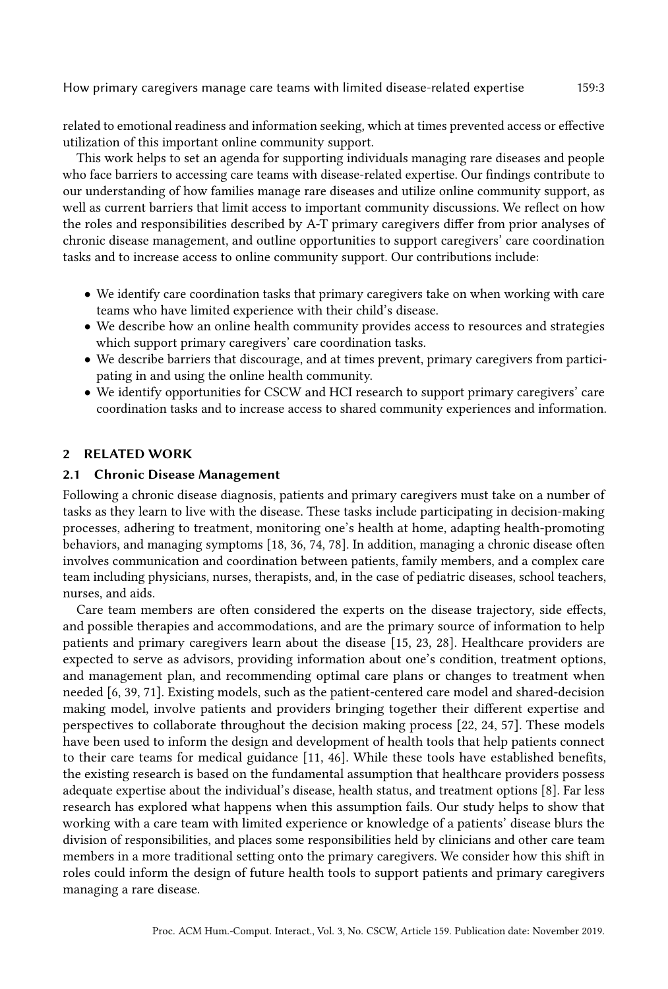related to emotional readiness and information seeking, which at times prevented access or effective utilization of this important online community support.

This work helps to set an agenda for supporting individuals managing rare diseases and people who face barriers to accessing care teams with disease-related expertise. Our findings contribute to our understanding of how families manage rare diseases and utilize online community support, as well as current barriers that limit access to important community discussions. We reflect on how the roles and responsibilities described by A-T primary caregivers differ from prior analyses of chronic disease management, and outline opportunities to support caregivers' care coordination tasks and to increase access to online community support. Our contributions include:

- We identify care coordination tasks that primary caregivers take on when working with care teams who have limited experience with their child's disease.
- We describe how an online health community provides access to resources and strategies which support primary caregivers' care coordination tasks.
- We describe barriers that discourage, and at times prevent, primary caregivers from participating in and using the online health community.
- We identify opportunities for CSCW and HCI research to support primary caregivers' care coordination tasks and to increase access to shared community experiences and information.

# 2 RELATED WORK

### 2.1 Chronic Disease Management

Following a chronic disease diagnosis, patients and primary caregivers must take on a number of tasks as they learn to live with the disease. These tasks include participating in decision-making processes, adhering to treatment, monitoring one's health at home, adapting health-promoting behaviors, and managing symptoms [\[18,](#page-18-0) [36,](#page-19-2) [74,](#page-21-3) [78\]](#page-21-4). In addition, managing a chronic disease often involves communication and coordination between patients, family members, and a complex care team including physicians, nurses, therapists, and, in the case of pediatric diseases, school teachers, nurses, and aids.

Care team members are often considered the experts on the disease trajectory, side effects, and possible therapies and accommodations, and are the primary source of information to help patients and primary caregivers learn about the disease [\[15,](#page-18-5) [23,](#page-19-3) [28\]](#page-19-4). Healthcare providers are expected to serve as advisors, providing information about one's condition, treatment options, and management plan, and recommending optimal care plans or changes to treatment when needed [\[6,](#page-18-6) [39,](#page-19-5) [71\]](#page-21-5). Existing models, such as the patient-centered care model and shared-decision making model, involve patients and providers bringing together their different expertise and perspectives to collaborate throughout the decision making process [\[22,](#page-19-6) [24,](#page-19-7) [57\]](#page-20-3). These models have been used to inform the design and development of health tools that help patients connect to their care teams for medical guidance [\[11,](#page-18-7) [46\]](#page-20-4). While these tools have established benefits, the existing research is based on the fundamental assumption that healthcare providers possess adequate expertise about the individual's disease, health status, and treatment options [\[8\]](#page-18-3). Far less research has explored what happens when this assumption fails. Our study helps to show that working with a care team with limited experience or knowledge of a patients' disease blurs the division of responsibilities, and places some responsibilities held by clinicians and other care team members in a more traditional setting onto the primary caregivers. We consider how this shift in roles could inform the design of future health tools to support patients and primary caregivers managing a rare disease.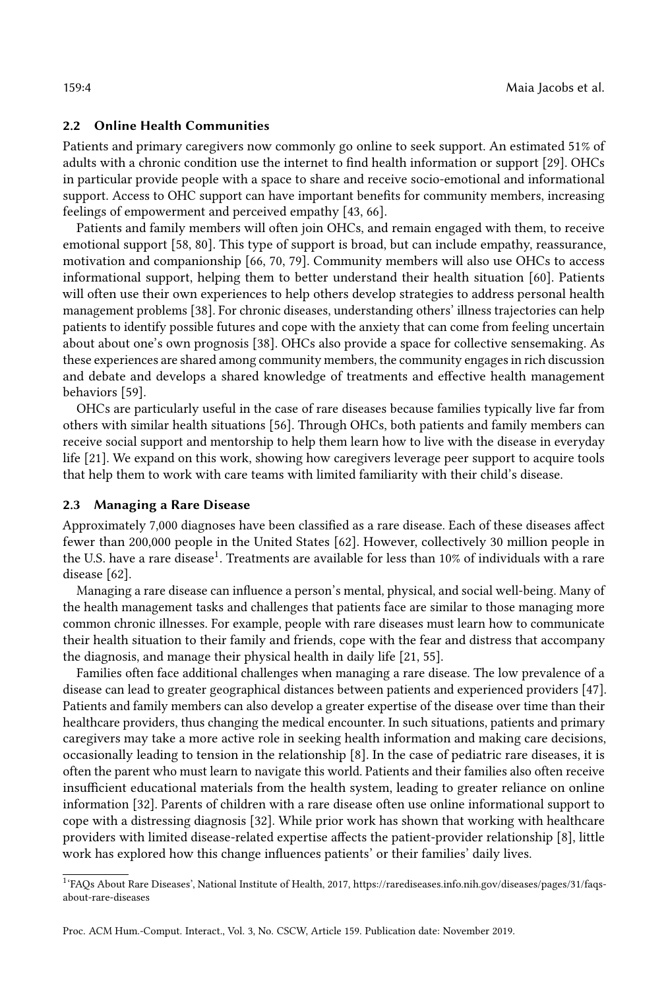#### 2.2 Online Health Communities

Patients and primary caregivers now commonly go online to seek support. An estimated 51% of adults with a chronic condition use the internet to find health information or support [\[29\]](#page-19-8). OHCs in particular provide people with a space to share and receive socio-emotional and informational support. Access to OHC support can have important benefits for community members, increasing feelings of empowerment and perceived empathy [\[43,](#page-20-5) [66\]](#page-21-6).

Patients and family members will often join OHCs, and remain engaged with them, to receive emotional support [\[58,](#page-20-6) [80\]](#page-21-7). This type of support is broad, but can include empathy, reassurance, motivation and companionship [\[66,](#page-21-6) [70,](#page-21-8) [79\]](#page-21-9). Community members will also use OHCs to access informational support, helping them to better understand their health situation [\[60\]](#page-20-7). Patients will often use their own experiences to help others develop strategies to address personal health management problems [\[38\]](#page-19-9). For chronic diseases, understanding others' illness trajectories can help patients to identify possible futures and cope with the anxiety that can come from feeling uncertain about about one's own prognosis [\[38\]](#page-19-9). OHCs also provide a space for collective sensemaking. As these experiences are shared among community members, the community engages in rich discussion and debate and develops a shared knowledge of treatments and effective health management behaviors [\[59\]](#page-20-8).

OHCs are particularly useful in the case of rare diseases because families typically live far from others with similar health situations [\[56\]](#page-20-9). Through OHCs, both patients and family members can receive social support and mentorship to help them learn how to live with the disease in everyday life [\[21\]](#page-19-10). We expand on this work, showing how caregivers leverage peer support to acquire tools that help them to work with care teams with limited familiarity with their child's disease.

### 2.3 Managing a Rare Disease

Approximately 7,000 diagnoses have been classified as a rare disease. Each of these diseases affect fewer than 200,000 people in the United States [\[62\]](#page-20-10). However, collectively 30 million people in the U.S. have a rare disease $^1$  $^1$ . Treatments are available for less than 10% of individuals with a rare disease [\[62\]](#page-20-10).

Managing a rare disease can influence a person's mental, physical, and social well-being. Many of the health management tasks and challenges that patients face are similar to those managing more common chronic illnesses. For example, people with rare diseases must learn how to communicate their health situation to their family and friends, cope with the fear and distress that accompany the diagnosis, and manage their physical health in daily life [\[21,](#page-19-10) [55\]](#page-20-1).

Families often face additional challenges when managing a rare disease. The low prevalence of a disease can lead to greater geographical distances between patients and experienced providers [\[47\]](#page-20-11). Patients and family members can also develop a greater expertise of the disease over time than their healthcare providers, thus changing the medical encounter. In such situations, patients and primary caregivers may take a more active role in seeking health information and making care decisions, occasionally leading to tension in the relationship [\[8\]](#page-18-3). In the case of pediatric rare diseases, it is often the parent who must learn to navigate this world. Patients and their families also often receive insufficient educational materials from the health system, leading to greater reliance on online information [\[32\]](#page-19-11). Parents of children with a rare disease often use online informational support to cope with a distressing diagnosis [\[32\]](#page-19-11). While prior work has shown that working with healthcare providers with limited disease-related expertise affects the patient-provider relationship [\[8\]](#page-18-3), little work has explored how this change influences patients' or their families' daily lives.

<span id="page-3-0"></span><sup>1</sup> 'FAQs About Rare Diseases', National Institute of Health, 2017, https://rarediseases.info.nih.gov/diseases/pages/31/faqsabout-rare-diseases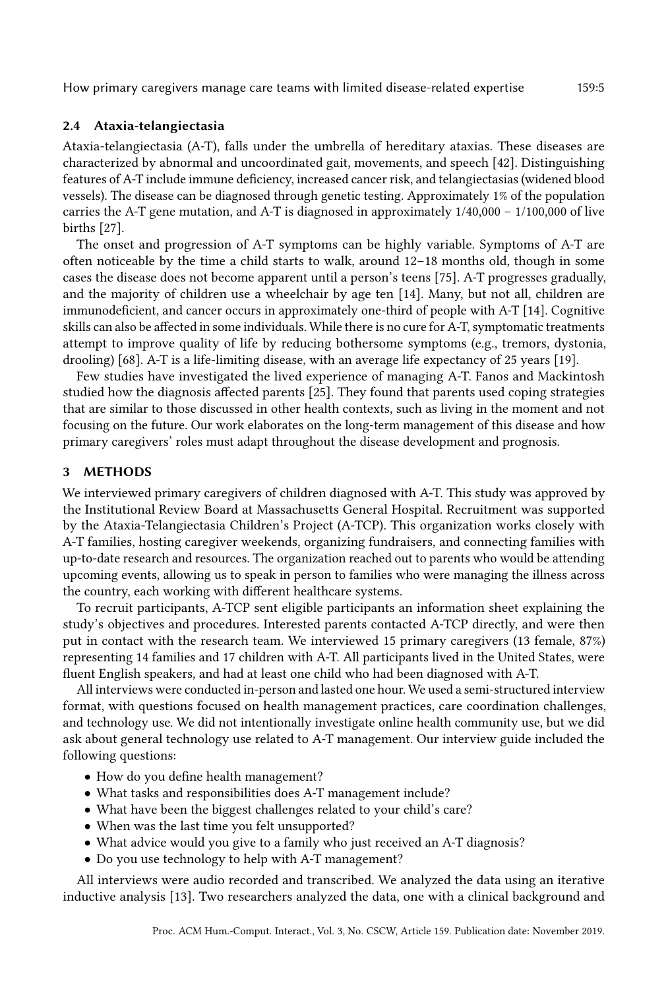### 2.4 Ataxia-telangiectasia

Ataxia-telangiectasia (A-T), falls under the umbrella of hereditary ataxias. These diseases are characterized by abnormal and uncoordinated gait, movements, and speech [\[42\]](#page-19-12). Distinguishing features of A-T include immune deficiency, increased cancer risk, and telangiectasias (widened blood vessels). The disease can be diagnosed through genetic testing. Approximately 1% of the population carries the A-T gene mutation, and A-T is diagnosed in approximately  $1/40,000 - 1/100,000$  of live births [\[27\]](#page-19-13).

The onset and progression of A-T symptoms can be highly variable. Symptoms of A-T are often noticeable by the time a child starts to walk, around 12–18 months old, though in some cases the disease does not become apparent until a person's teens [\[75\]](#page-21-10). A-T progresses gradually, and the majority of children use a wheelchair by age ten [\[14\]](#page-18-8). Many, but not all, children are immunodeficient, and cancer occurs in approximately one-third of people with A-T [\[14\]](#page-18-8). Cognitive skills can also be affected in some individuals. While there is no cure for A-T, symptomatic treatments attempt to improve quality of life by reducing bothersome symptoms (e.g., tremors, dystonia, drooling) [\[68\]](#page-21-11). A-T is a life-limiting disease, with an average life expectancy of 25 years [\[19\]](#page-18-9).

Few studies have investigated the lived experience of managing A-T. Fanos and Mackintosh studied how the diagnosis affected parents [\[25\]](#page-19-14). They found that parents used coping strategies that are similar to those discussed in other health contexts, such as living in the moment and not focusing on the future. Our work elaborates on the long-term management of this disease and how primary caregivers' roles must adapt throughout the disease development and prognosis.

### 3 METHODS

We interviewed primary caregivers of children diagnosed with A-T. This study was approved by the Institutional Review Board at Massachusetts General Hospital. Recruitment was supported by the Ataxia-Telangiectasia Children's Project (A-TCP). This organization works closely with A-T families, hosting caregiver weekends, organizing fundraisers, and connecting families with up-to-date research and resources. The organization reached out to parents who would be attending upcoming events, allowing us to speak in person to families who were managing the illness across the country, each working with different healthcare systems.

To recruit participants, A-TCP sent eligible participants an information sheet explaining the study's objectives and procedures. Interested parents contacted A-TCP directly, and were then put in contact with the research team. We interviewed 15 primary caregivers (13 female, 87%) representing 14 families and 17 children with A-T. All participants lived in the United States, were fluent English speakers, and had at least one child who had been diagnosed with A-T.

All interviews were conducted in-person and lasted one hour. We used a semi-structured interview format, with questions focused on health management practices, care coordination challenges, and technology use. We did not intentionally investigate online health community use, but we did ask about general technology use related to A-T management. Our interview guide included the following questions:

- How do you define health management?
- What tasks and responsibilities does A-T management include?
- What have been the biggest challenges related to your child's care?
- When was the last time you felt unsupported?
- What advice would you give to a family who just received an A-T diagnosis?
- Do you use technology to help with A-T management?

All interviews were audio recorded and transcribed. We analyzed the data using an iterative inductive analysis [\[13\]](#page-18-10). Two researchers analyzed the data, one with a clinical background and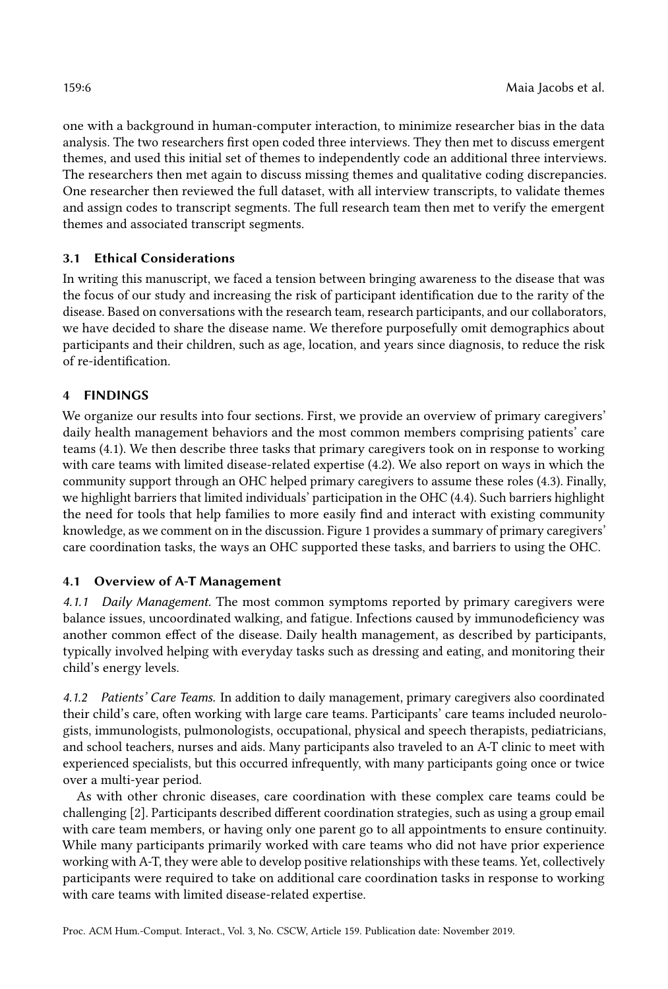one with a background in human-computer interaction, to minimize researcher bias in the data analysis. The two researchers first open coded three interviews. They then met to discuss emergent themes, and used this initial set of themes to independently code an additional three interviews. The researchers then met again to discuss missing themes and qualitative coding discrepancies. One researcher then reviewed the full dataset, with all interview transcripts, to validate themes and assign codes to transcript segments. The full research team then met to verify the emergent themes and associated transcript segments.

# 3.1 Ethical Considerations

In writing this manuscript, we faced a tension between bringing awareness to the disease that was the focus of our study and increasing the risk of participant identification due to the rarity of the disease. Based on conversations with the research team, research participants, and our collaborators, we have decided to share the disease name. We therefore purposefully omit demographics about participants and their children, such as age, location, and years since diagnosis, to reduce the risk of re-identification.

# 4 FINDINGS

We organize our results into four sections. First, we provide an overview of primary caregivers' daily health management behaviors and the most common members comprising patients' care teams [\(4.1\)](#page-5-1). We then describe three tasks that primary caregivers took on in response to working with care teams with limited disease-related expertise [\(4.2\)](#page-6-0). We also report on ways in which the community support through an OHC helped primary caregivers to assume these roles [\(4.3\)](#page-9-0). Finally, we highlight barriers that limited individuals' participation in the OHC [\(4.4\)](#page-11-0). Such barriers highlight the need for tools that help families to more easily find and interact with existing community knowledge, as we comment on in the discussion. Figure [1](#page-6-1) provides a summary of primary caregivers' care coordination tasks, the ways an OHC supported these tasks, and barriers to using the OHC.

# <span id="page-5-1"></span>4.1 Overview of A-T Management

4.1.1 Daily Management. The most common symptoms reported by primary caregivers were balance issues, uncoordinated walking, and fatigue. Infections caused by immunodeficiency was another common effect of the disease. Daily health management, as described by participants, typically involved helping with everyday tasks such as dressing and eating, and monitoring their child's energy levels.

<span id="page-5-0"></span>4.1.2 Patients' Care Teams. In addition to daily management, primary caregivers also coordinated their child's care, often working with large care teams. Participants' care teams included neurologists, immunologists, pulmonologists, occupational, physical and speech therapists, pediatricians, and school teachers, nurses and aids. Many participants also traveled to an A-T clinic to meet with experienced specialists, but this occurred infrequently, with many participants going once or twice over a multi-year period.

As with other chronic diseases, care coordination with these complex care teams could be challenging [\[2\]](#page-18-11). Participants described different coordination strategies, such as using a group email with care team members, or having only one parent go to all appointments to ensure continuity. While many participants primarily worked with care teams who did not have prior experience working with A-T, they were able to develop positive relationships with these teams. Yet, collectively participants were required to take on additional care coordination tasks in response to working with care teams with limited disease-related expertise.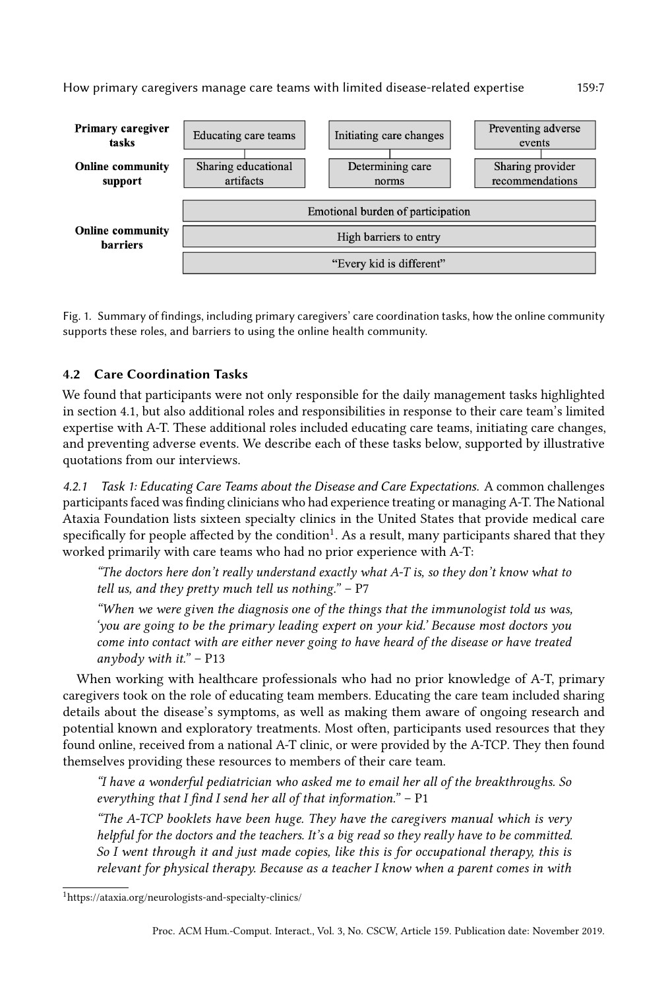<span id="page-6-1"></span>

Fig. 1. Summary of findings, including primary caregivers' care coordination tasks, how the online community supports these roles, and barriers to using the online health community.

# <span id="page-6-0"></span>4.2 Care Coordination Tasks

We found that participants were not only responsible for the daily management tasks highlighted in section [4.1,](#page-5-1) but also additional roles and responsibilities in response to their care team's limited expertise with A-T. These additional roles included educating care teams, initiating care changes, and preventing adverse events. We describe each of these tasks below, supported by illustrative quotations from our interviews.

4.2.1 Task 1: Educating Care Teams about the Disease and Care Expectations. A common challenges participants faced was finding clinicians who had experience treating or managing A-T. The National Ataxia Foundation lists sixteen specialty clinics in the United States that provide medical care specifically for people affected by the condition $^1.$  $^1.$  $^1.$  As a result, many participants shared that they worked primarily with care teams who had no prior experience with A-T:

"The doctors here don't really understand exactly what A-T is, so they don't know what to tell us, and they pretty much tell us nothing."  $- P7$ 

"When we were given the diagnosis one of the things that the immunologist told us was, 'you are going to be the primary leading expert on your kid.' Because most doctors you come into contact with are either never going to have heard of the disease or have treated anybody with it."  $-$  P13

When working with healthcare professionals who had no prior knowledge of A-T, primary caregivers took on the role of educating team members. Educating the care team included sharing details about the disease's symptoms, as well as making them aware of ongoing research and potential known and exploratory treatments. Most often, participants used resources that they found online, received from a national A-T clinic, or were provided by the A-TCP. They then found themselves providing these resources to members of their care team.

"I have a wonderful pediatrician who asked me to email her all of the breakthroughs. So everything that I find I send her all of that information." – P1

"The A-TCP booklets have been huge. They have the caregivers manual which is very helpful for the doctors and the teachers. It's a big read so they really have to be committed. So I went through it and just made copies, like this is for occupational therapy, this is relevant for physical therapy. Because as a teacher I know when a parent comes in with

<span id="page-6-2"></span><sup>1</sup>https://ataxia.org/neurologists-and-specialty-clinics/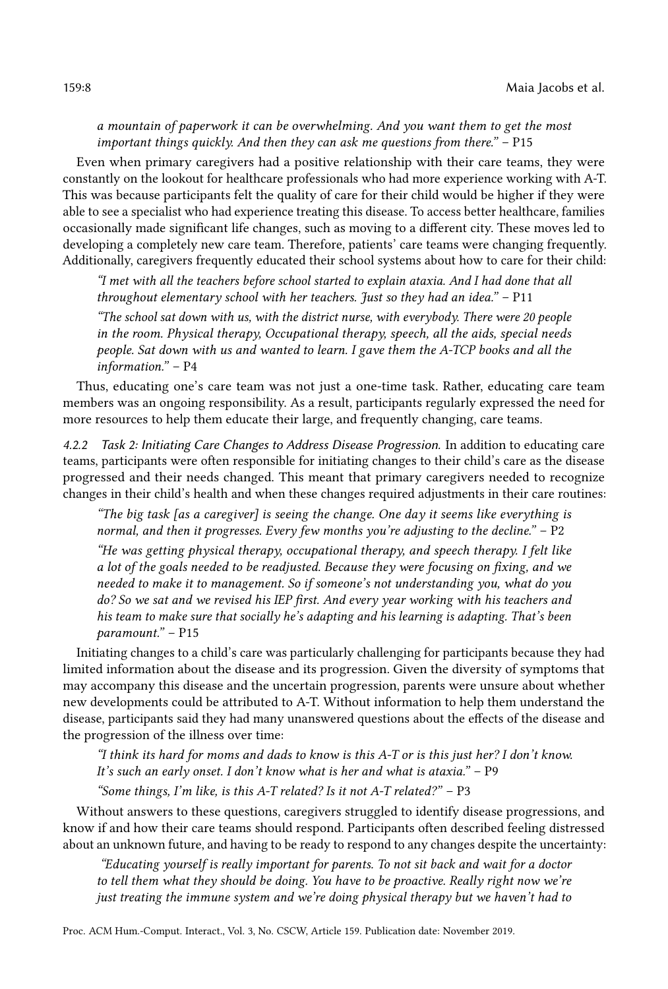# a mountain of paperwork it can be overwhelming. And you want them to get the most important things quickly. And then they can ask me questions from there." – P15

Even when primary caregivers had a positive relationship with their care teams, they were constantly on the lookout for healthcare professionals who had more experience working with A-T. This was because participants felt the quality of care for their child would be higher if they were able to see a specialist who had experience treating this disease. To access better healthcare, families occasionally made significant life changes, such as moving to a different city. These moves led to developing a completely new care team. Therefore, patients' care teams were changing frequently. Additionally, caregivers frequently educated their school systems about how to care for their child:

"I met with all the teachers before school started to explain ataxia. And I had done that all throughout elementary school with her teachers. Just so they had an idea."  $- P11$ 

"The school sat down with us, with the district nurse, with everybody. There were 20 people in the room. Physical therapy, Occupational therapy, speech, all the aids, special needs people. Sat down with us and wanted to learn. I gave them the A-TCP books and all the information." – P4

Thus, educating one's care team was not just a one-time task. Rather, educating care team members was an ongoing responsibility. As a result, participants regularly expressed the need for more resources to help them educate their large, and frequently changing, care teams.

4.2.2 Task 2: Initiating Care Changes to Address Disease Progression. In addition to educating care teams, participants were often responsible for initiating changes to their child's care as the disease progressed and their needs changed. This meant that primary caregivers needed to recognize changes in their child's health and when these changes required adjustments in their care routines:

"The big task [as a caregiver] is seeing the change. One day it seems like everything is normal, and then it progresses. Every few months you're adjusting to the decline."  $- P2$ 

"He was getting physical therapy, occupational therapy, and speech therapy. I felt like a lot of the goals needed to be readjusted. Because they were focusing on fixing, and we needed to make it to management. So if someone's not understanding you, what do you do? So we sat and we revised his IEP first. And every year working with his teachers and his team to make sure that socially he's adapting and his learning is adapting. That's been paramount." – P15

Initiating changes to a child's care was particularly challenging for participants because they had limited information about the disease and its progression. Given the diversity of symptoms that may accompany this disease and the uncertain progression, parents were unsure about whether new developments could be attributed to A-T. Without information to help them understand the disease, participants said they had many unanswered questions about the effects of the disease and the progression of the illness over time:

"I think its hard for moms and dads to know is this A-T or is this just her? I don't know. It's such an early onset. I don't know what is her and what is ataxia." – P9 "Some things, I'm like, is this A-T related? Is it not A-T related?" – P3

Without answers to these questions, caregivers struggled to identify disease progressions, and know if and how their care teams should respond. Participants often described feeling distressed about an unknown future, and having to be ready to respond to any changes despite the uncertainty:

"Educating yourself is really important for parents. To not sit back and wait for a doctor to tell them what they should be doing. You have to be proactive. Really right now we're just treating the immune system and we're doing physical therapy but we haven't had to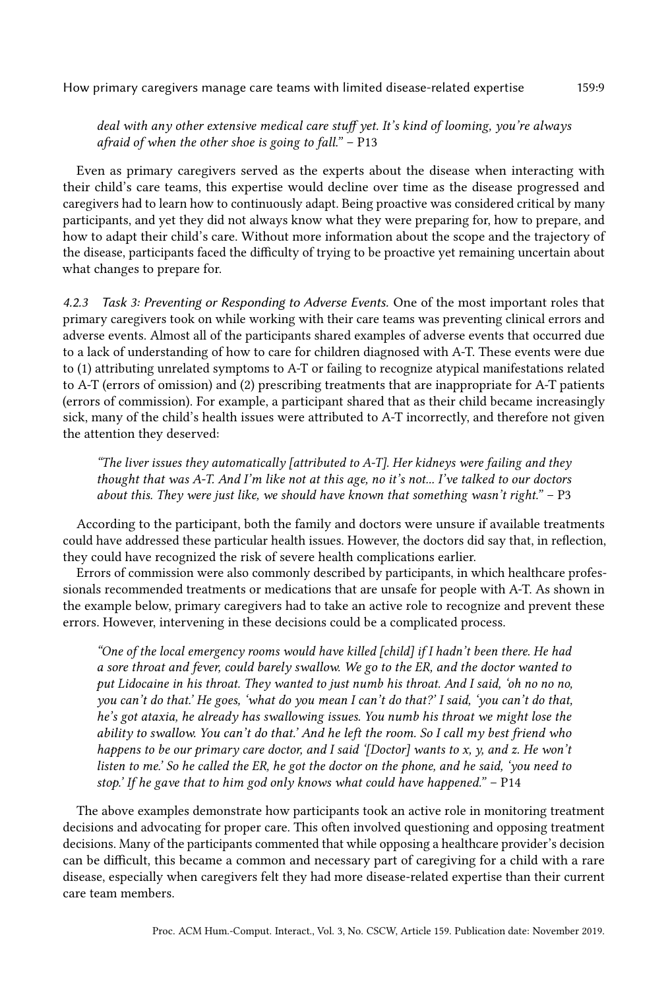deal with any other extensive medical care stuff yet. It's kind of looming, you're always afraid of when the other shoe is going to fall." – P13

Even as primary caregivers served as the experts about the disease when interacting with their child's care teams, this expertise would decline over time as the disease progressed and caregivers had to learn how to continuously adapt. Being proactive was considered critical by many participants, and yet they did not always know what they were preparing for, how to prepare, and how to adapt their child's care. Without more information about the scope and the trajectory of the disease, participants faced the difficulty of trying to be proactive yet remaining uncertain about what changes to prepare for.

4.2.3 Task 3: Preventing or Responding to Adverse Events. One of the most important roles that primary caregivers took on while working with their care teams was preventing clinical errors and adverse events. Almost all of the participants shared examples of adverse events that occurred due to a lack of understanding of how to care for children diagnosed with A-T. These events were due to (1) attributing unrelated symptoms to A-T or failing to recognize atypical manifestations related to A-T (errors of omission) and (2) prescribing treatments that are inappropriate for A-T patients (errors of commission). For example, a participant shared that as their child became increasingly sick, many of the child's health issues were attributed to A-T incorrectly, and therefore not given the attention they deserved:

"The liver issues they automatically [attributed to A-T]. Her kidneys were failing and they thought that was A-T. And I'm like not at this age, no it's not... I've talked to our doctors about this. They were just like, we should have known that something wasn't right."  $- P3$ 

According to the participant, both the family and doctors were unsure if available treatments could have addressed these particular health issues. However, the doctors did say that, in reflection, they could have recognized the risk of severe health complications earlier.

Errors of commission were also commonly described by participants, in which healthcare professionals recommended treatments or medications that are unsafe for people with A-T. As shown in the example below, primary caregivers had to take an active role to recognize and prevent these errors. However, intervening in these decisions could be a complicated process.

"One of the local emergency rooms would have killed [child] if I hadn't been there. He had a sore throat and fever, could barely swallow. We go to the ER, and the doctor wanted to put Lidocaine in his throat. They wanted to just numb his throat. And I said, 'oh no no no, you can't do that.' He goes, 'what do you mean I can't do that?' I said, 'you can't do that, he's got ataxia, he already has swallowing issues. You numb his throat we might lose the ability to swallow. You can't do that.' And he left the room. So I call my best friend who happens to be our primary care doctor, and I said '[Doctor] wants to x, y, and z. He won't listen to me.' So he called the ER, he got the doctor on the phone, and he said, 'you need to stop.' If he gave that to him god only knows what could have happened." – P14

The above examples demonstrate how participants took an active role in monitoring treatment decisions and advocating for proper care. This often involved questioning and opposing treatment decisions. Many of the participants commented that while opposing a healthcare provider's decision can be difficult, this became a common and necessary part of caregiving for a child with a rare disease, especially when caregivers felt they had more disease-related expertise than their current care team members.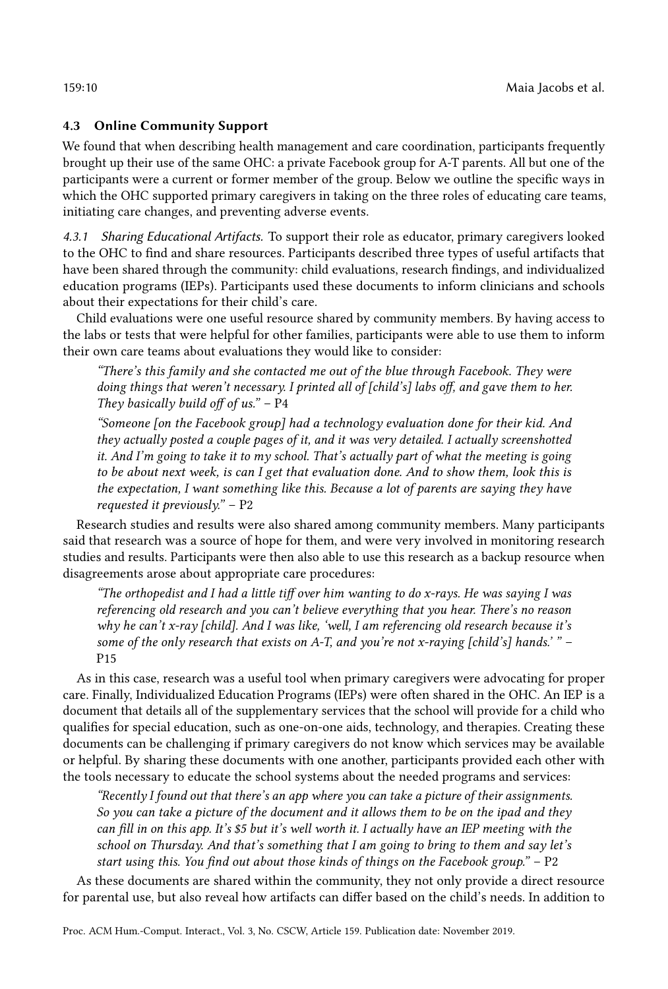# <span id="page-9-0"></span>4.3 Online Community Support

We found that when describing health management and care coordination, participants frequently brought up their use of the same OHC: a private Facebook group for A-T parents. All but one of the participants were a current or former member of the group. Below we outline the specific ways in which the OHC supported primary caregivers in taking on the three roles of educating care teams, initiating care changes, and preventing adverse events.

4.3.1 Sharing Educational Artifacts. To support their role as educator, primary caregivers looked to the OHC to find and share resources. Participants described three types of useful artifacts that have been shared through the community: child evaluations, research findings, and individualized education programs (IEPs). Participants used these documents to inform clinicians and schools about their expectations for their child's care.

Child evaluations were one useful resource shared by community members. By having access to the labs or tests that were helpful for other families, participants were able to use them to inform their own care teams about evaluations they would like to consider:

"There's this family and she contacted me out of the blue through Facebook. They were doing things that weren't necessary. I printed all of [child's] labs off, and gave them to her. They basically build off of us."  $- P4$ 

"Someone [on the Facebook group] had a technology evaluation done for their kid. And they actually posted a couple pages of it, and it was very detailed. I actually screenshotted it. And I'm going to take it to my school. That's actually part of what the meeting is going to be about next week, is can I get that evaluation done. And to show them, look this is the expectation, I want something like this. Because a lot of parents are saying they have requested it previously."  $- P2$ 

Research studies and results were also shared among community members. Many participants said that research was a source of hope for them, and were very involved in monitoring research studies and results. Participants were then also able to use this research as a backup resource when disagreements arose about appropriate care procedures:

"The orthopedist and I had a little tiff over him wanting to do x-rays. He was saying I was referencing old research and you can't believe everything that you hear. There's no reason why he can't x-ray [child]. And I was like, 'well, I am referencing old research because it's some of the only research that exists on A-T, and you're not x-raying [child's] hands.'" -P15

As in this case, research was a useful tool when primary caregivers were advocating for proper care. Finally, Individualized Education Programs (IEPs) were often shared in the OHC. An IEP is a document that details all of the supplementary services that the school will provide for a child who qualifies for special education, such as one-on-one aids, technology, and therapies. Creating these documents can be challenging if primary caregivers do not know which services may be available or helpful. By sharing these documents with one another, participants provided each other with the tools necessary to educate the school systems about the needed programs and services:

"Recently I found out that there's an app where you can take a picture of their assignments. So you can take a picture of the document and it allows them to be on the ipad and they can fill in on this app. It's \$5 but it's well worth it. I actually have an IEP meeting with the school on Thursday. And that's something that I am going to bring to them and say let's start using this. You find out about those kinds of things on the Facebook group." – P2

As these documents are shared within the community, they not only provide a direct resource for parental use, but also reveal how artifacts can differ based on the child's needs. In addition to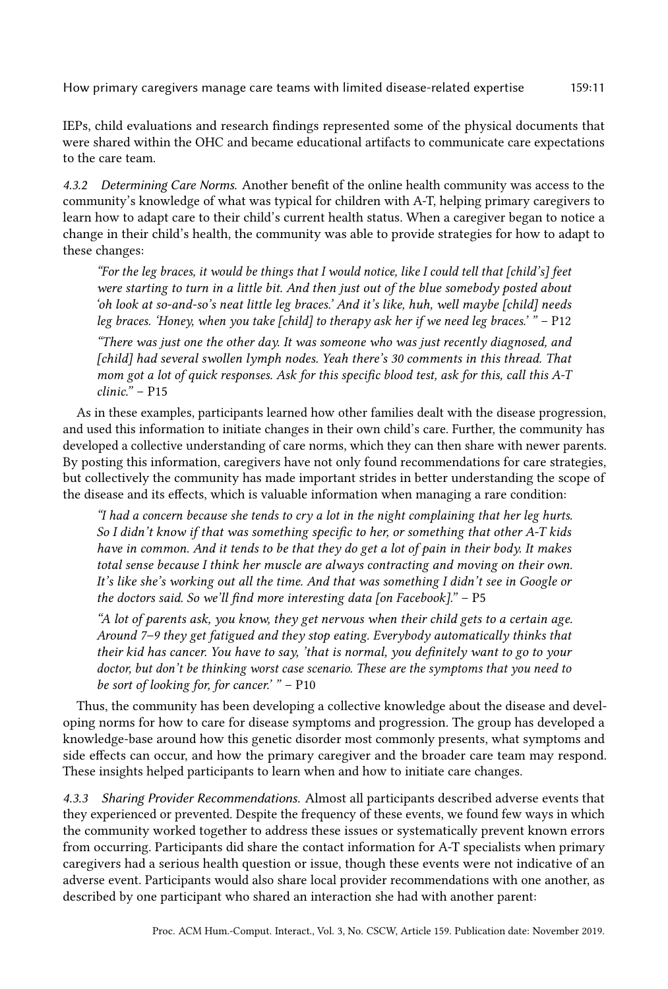IEPs, child evaluations and research findings represented some of the physical documents that were shared within the OHC and became educational artifacts to communicate care expectations to the care team.

4.3.2 Determining Care Norms. Another benefit of the online health community was access to the community's knowledge of what was typical for children with A-T, helping primary caregivers to learn how to adapt care to their child's current health status. When a caregiver began to notice a change in their child's health, the community was able to provide strategies for how to adapt to these changes:

"For the leg braces, it would be things that I would notice, like I could tell that [child's] feet were starting to turn in a little bit. And then just out of the blue somebody posted about 'oh look at so-and-so's neat little leg braces.' And it's like, huh, well maybe [child] needs leg braces. 'Honey, when you take [child] to therapy ask her if we need leg braces.' " – P12

"There was just one the other day. It was someone who was just recently diagnosed, and [child] had several swollen lymph nodes. Yeah there's 30 comments in this thread. That mom got a lot of quick responses. Ask for this specific blood test, ask for this, call this A-T clinic." – P15

As in these examples, participants learned how other families dealt with the disease progression, and used this information to initiate changes in their own child's care. Further, the community has developed a collective understanding of care norms, which they can then share with newer parents. By posting this information, caregivers have not only found recommendations for care strategies, but collectively the community has made important strides in better understanding the scope of the disease and its effects, which is valuable information when managing a rare condition:

"I had a concern because she tends to cry a lot in the night complaining that her leg hurts. So I didn't know if that was something specific to her, or something that other A-T kids have in common. And it tends to be that they do get a lot of pain in their body. It makes total sense because I think her muscle are always contracting and moving on their own. It's like she's working out all the time. And that was something I didn't see in Google or the doctors said. So we'll find more interesting data [on Facebook]." – P5

"A lot of parents ask, you know, they get nervous when their child gets to a certain age. Around 7–9 they get fatigued and they stop eating. Everybody automatically thinks that their kid has cancer. You have to say, 'that is normal, you definitely want to go to your doctor, but don't be thinking worst case scenario. These are the symptoms that you need to be sort of looking for, for cancer.' " – P10

Thus, the community has been developing a collective knowledge about the disease and developing norms for how to care for disease symptoms and progression. The group has developed a knowledge-base around how this genetic disorder most commonly presents, what symptoms and side effects can occur, and how the primary caregiver and the broader care team may respond. These insights helped participants to learn when and how to initiate care changes.

4.3.3 Sharing Provider Recommendations. Almost all participants described adverse events that they experienced or prevented. Despite the frequency of these events, we found few ways in which the community worked together to address these issues or systematically prevent known errors from occurring. Participants did share the contact information for A-T specialists when primary caregivers had a serious health question or issue, though these events were not indicative of an adverse event. Participants would also share local provider recommendations with one another, as described by one participant who shared an interaction she had with another parent: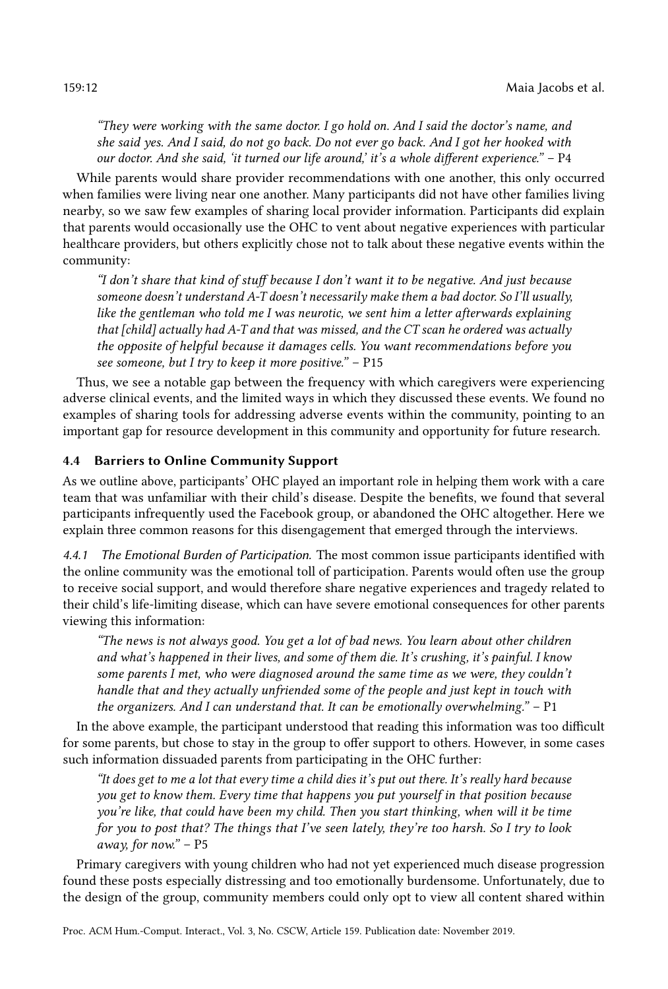"They were working with the same doctor. I go hold on. And I said the doctor's name, and she said yes. And I said, do not go back. Do not ever go back. And I got her hooked with our doctor. And she said, 'it turned our life around,' it's a whole different experience." – P4

While parents would share provider recommendations with one another, this only occurred when families were living near one another. Many participants did not have other families living nearby, so we saw few examples of sharing local provider information. Participants did explain that parents would occasionally use the OHC to vent about negative experiences with particular healthcare providers, but others explicitly chose not to talk about these negative events within the community:

"I don't share that kind of stuff because I don't want it to be negative. And just because someone doesn't understand A-T doesn't necessarily make them a bad doctor. So I'll usually, like the gentleman who told me I was neurotic, we sent him a letter afterwards explaining that [child] actually had A-T and that was missed, and the CT scan he ordered was actually the opposite of helpful because it damages cells. You want recommendations before you see someone, but I try to keep it more positive." – P15

Thus, we see a notable gap between the frequency with which caregivers were experiencing adverse clinical events, and the limited ways in which they discussed these events. We found no examples of sharing tools for addressing adverse events within the community, pointing to an important gap for resource development in this community and opportunity for future research.

# <span id="page-11-0"></span>4.4 Barriers to Online Community Support

As we outline above, participants' OHC played an important role in helping them work with a care team that was unfamiliar with their child's disease. Despite the benefits, we found that several participants infrequently used the Facebook group, or abandoned the OHC altogether. Here we explain three common reasons for this disengagement that emerged through the interviews.

4.4.1 The Emotional Burden of Participation. The most common issue participants identified with the online community was the emotional toll of participation. Parents would often use the group to receive social support, and would therefore share negative experiences and tragedy related to their child's life-limiting disease, which can have severe emotional consequences for other parents viewing this information:

"The news is not always good. You get a lot of bad news. You learn about other children and what's happened in their lives, and some of them die. It's crushing, it's painful. I know some parents I met, who were diagnosed around the same time as we were, they couldn't handle that and they actually unfriended some of the people and just kept in touch with the organizers. And I can understand that. It can be emotionally overwhelming." – P1

In the above example, the participant understood that reading this information was too difficult for some parents, but chose to stay in the group to offer support to others. However, in some cases such information dissuaded parents from participating in the OHC further:

"It does get to me a lot that every time a child dies it's put out there. It's really hard because you get to know them. Every time that happens you put yourself in that position because you're like, that could have been my child. Then you start thinking, when will it be time for you to post that? The things that I've seen lately, they're too harsh. So I try to look away, for now." – P5

Primary caregivers with young children who had not yet experienced much disease progression found these posts especially distressing and too emotionally burdensome. Unfortunately, due to the design of the group, community members could only opt to view all content shared within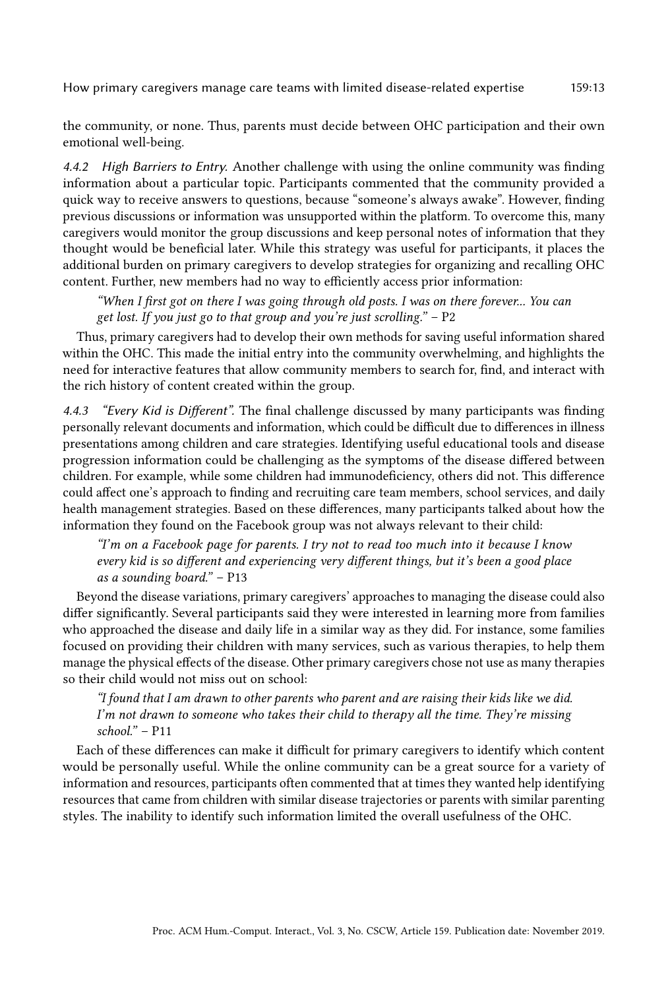the community, or none. Thus, parents must decide between OHC participation and their own emotional well-being.

4.4.2 High Barriers to Entry. Another challenge with using the online community was finding information about a particular topic. Participants commented that the community provided a quick way to receive answers to questions, because "someone's always awake". However, finding previous discussions or information was unsupported within the platform. To overcome this, many caregivers would monitor the group discussions and keep personal notes of information that they thought would be beneficial later. While this strategy was useful for participants, it places the additional burden on primary caregivers to develop strategies for organizing and recalling OHC content. Further, new members had no way to efficiently access prior information:

"When I first got on there I was going through old posts. I was on there forever... You can get lost. If you just go to that group and you're just scrolling."  $- P2$ 

Thus, primary caregivers had to develop their own methods for saving useful information shared within the OHC. This made the initial entry into the community overwhelming, and highlights the need for interactive features that allow community members to search for, find, and interact with the rich history of content created within the group.

4.4.3 "Every Kid is Different". The final challenge discussed by many participants was finding personally relevant documents and information, which could be difficult due to differences in illness presentations among children and care strategies. Identifying useful educational tools and disease progression information could be challenging as the symptoms of the disease differed between children. For example, while some children had immunodeficiency, others did not. This difference could affect one's approach to finding and recruiting care team members, school services, and daily health management strategies. Based on these differences, many participants talked about how the information they found on the Facebook group was not always relevant to their child:

"I'm on a Facebook page for parents. I try not to read too much into it because I know every kid is so different and experiencing very different things, but it's been a good place as a sounding board." – P13

Beyond the disease variations, primary caregivers' approaches to managing the disease could also differ significantly. Several participants said they were interested in learning more from families who approached the disease and daily life in a similar way as they did. For instance, some families focused on providing their children with many services, such as various therapies, to help them manage the physical effects of the disease. Other primary caregivers chose not use as many therapies so their child would not miss out on school:

"I found that I am drawn to other parents who parent and are raising their kids like we did. I'm not drawn to someone who takes their child to therapy all the time. They're missing school." – P11

Each of these differences can make it difficult for primary caregivers to identify which content would be personally useful. While the online community can be a great source for a variety of information and resources, participants often commented that at times they wanted help identifying resources that came from children with similar disease trajectories or parents with similar parenting styles. The inability to identify such information limited the overall usefulness of the OHC.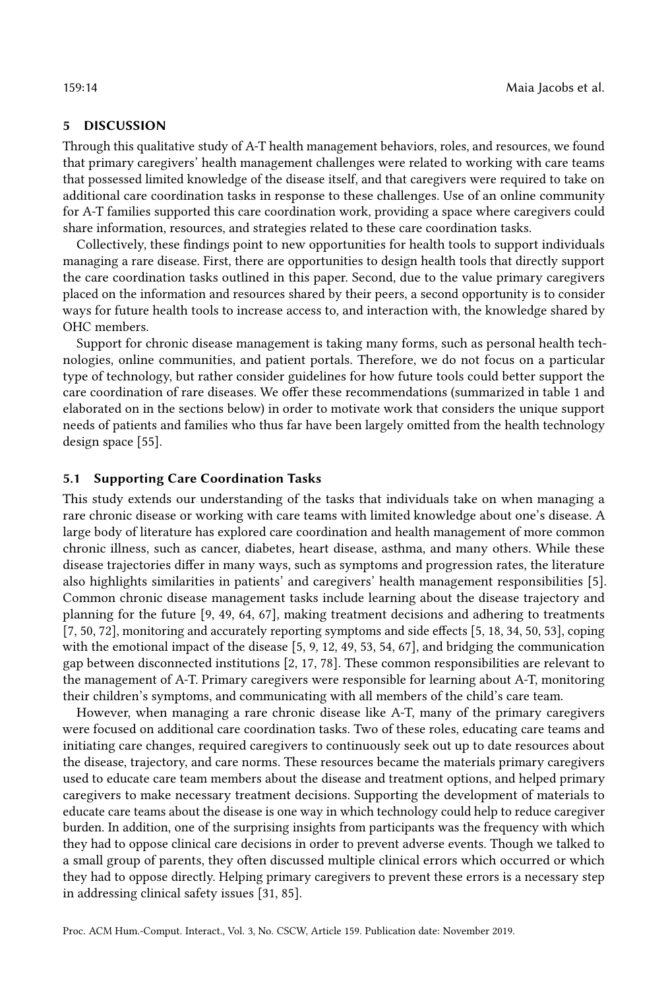# 5 DISCUSSION

Through this qualitative study of A-T health management behaviors, roles, and resources, we found that primary caregivers' health management challenges were related to working with care teams that possessed limited knowledge of the disease itself, and that caregivers were required to take on additional care coordination tasks in response to these challenges. Use of an online community for A-T families supported this care coordination work, providing a space where caregivers could share information, resources, and strategies related to these care coordination tasks.

Collectively, these findings point to new opportunities for health tools to support individuals managing a rare disease. First, there are opportunities to design health tools that directly support the care coordination tasks outlined in this paper. Second, due to the value primary caregivers placed on the information and resources shared by their peers, a second opportunity is to consider ways for future health tools to increase access to, and interaction with, the knowledge shared by OHC members.

Support for chronic disease management is taking many forms, such as personal health technologies, online communities, and patient portals. Therefore, we do not focus on a particular type of technology, but rather consider guidelines for how future tools could better support the care coordination of rare diseases. We offer these recommendations (summarized in table [1](#page-14-0) and elaborated on in the sections below) in order to motivate work that considers the unique support needs of patients and families who thus far have been largely omitted from the health technology design space [\[55\]](#page-20-1).

### 5.1 Supporting Care Coordination Tasks

This study extends our understanding of the tasks that individuals take on when managing a rare chronic disease or working with care teams with limited knowledge about one's disease. A large body of literature has explored care coordination and health management of more common chronic illness, such as cancer, diabetes, heart disease, asthma, and many others. While these disease trajectories differ in many ways, such as symptoms and progression rates, the literature also highlights similarities in patients' and caregivers' health management responsibilities [\[5\]](#page-18-12). Common chronic disease management tasks include learning about the disease trajectory and planning for the future [\[9,](#page-18-13) [49,](#page-20-12) [64,](#page-20-13) [67\]](#page-21-12), making treatment decisions and adhering to treatments [\[7,](#page-18-14) [50,](#page-20-14) [72\]](#page-21-13), monitoring and accurately reporting symptoms and side effects [\[5,](#page-18-12) [18,](#page-18-0) [34,](#page-19-15) [50,](#page-20-14) [53\]](#page-20-15), coping with the emotional impact of the disease [\[5,](#page-18-12) [9,](#page-18-13) [12,](#page-18-15) [49,](#page-20-12) [53,](#page-20-15) [54,](#page-20-16) [67\]](#page-21-12), and bridging the communication gap between disconnected institutions [\[2,](#page-18-11) [17,](#page-18-16) [78\]](#page-21-4). These common responsibilities are relevant to the management of A-T. Primary caregivers were responsible for learning about A-T, monitoring their children's symptoms, and communicating with all members of the child's care team.

However, when managing a rare chronic disease like A-T, many of the primary caregivers were focused on additional care coordination tasks. Two of these roles, educating care teams and initiating care changes, required caregivers to continuously seek out up to date resources about the disease, trajectory, and care norms. These resources became the materials primary caregivers used to educate care team members about the disease and treatment options, and helped primary caregivers to make necessary treatment decisions. Supporting the development of materials to educate care teams about the disease is one way in which technology could help to reduce caregiver burden. In addition, one of the surprising insights from participants was the frequency with which they had to oppose clinical care decisions in order to prevent adverse events. Though we talked to a small group of parents, they often discussed multiple clinical errors which occurred or which they had to oppose directly. Helping primary caregivers to prevent these errors is a necessary step in addressing clinical safety issues [\[31,](#page-19-16) [85\]](#page-21-14).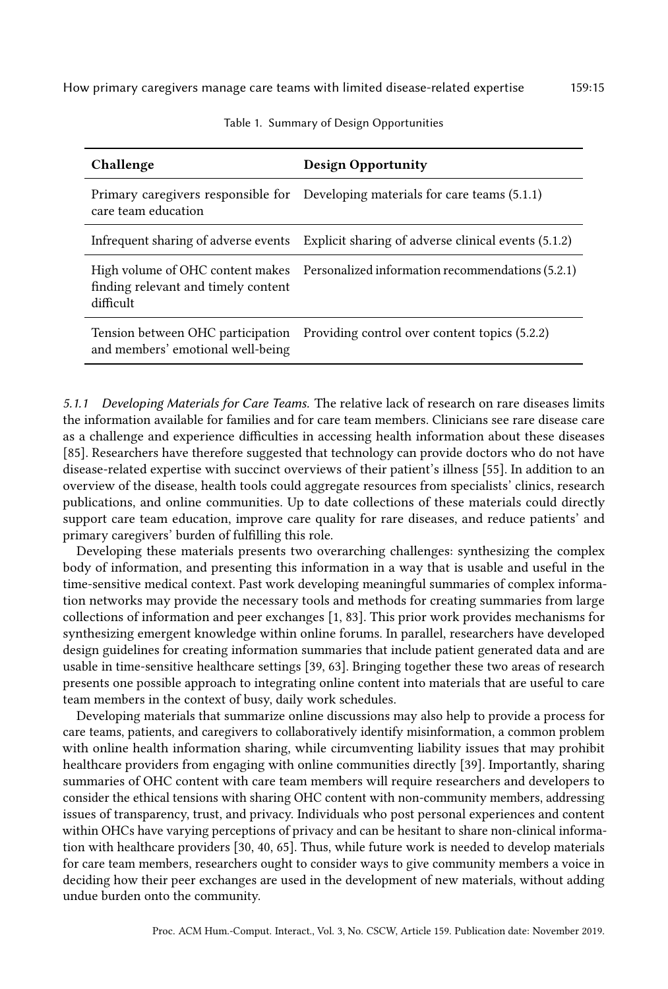<span id="page-14-0"></span>

| Challenge                                        | <b>Design Opportunity</b>                                                         |
|--------------------------------------------------|-----------------------------------------------------------------------------------|
| care team education                              | Primary caregivers responsible for Developing materials for care teams (5.1.1)    |
| Infrequent sharing of adverse events             | Explicit sharing of adverse clinical events (5.1.2)                               |
| finding relevant and timely content<br>difficult | High volume of OHC content makes Personalized information recommendations (5.2.1) |
| and members' emotional well-being                | Tension between OHC participation Providing control over content topics (5.2.2)   |

Table 1. Summary of Design Opportunities

5.1.1 Developing Materials for Care Teams. The relative lack of research on rare diseases limits the information available for families and for care team members. Clinicians see rare disease care as a challenge and experience difficulties in accessing health information about these diseases [\[85\]](#page-21-14). Researchers have therefore suggested that technology can provide doctors who do not have disease-related expertise with succinct overviews of their patient's illness [\[55\]](#page-20-1). In addition to an overview of the disease, health tools could aggregate resources from specialists' clinics, research publications, and online communities. Up to date collections of these materials could directly support care team education, improve care quality for rare diseases, and reduce patients' and primary caregivers' burden of fulfilling this role.

Developing these materials presents two overarching challenges: synthesizing the complex body of information, and presenting this information in a way that is usable and useful in the time-sensitive medical context. Past work developing meaningful summaries of complex information networks may provide the necessary tools and methods for creating summaries from large collections of information and peer exchanges [\[1,](#page-18-17) [83\]](#page-21-15). This prior work provides mechanisms for synthesizing emergent knowledge within online forums. In parallel, researchers have developed design guidelines for creating information summaries that include patient generated data and are usable in time-sensitive healthcare settings [\[39,](#page-19-5) [63\]](#page-20-17). Bringing together these two areas of research presents one possible approach to integrating online content into materials that are useful to care team members in the context of busy, daily work schedules.

Developing materials that summarize online discussions may also help to provide a process for care teams, patients, and caregivers to collaboratively identify misinformation, a common problem with online health information sharing, while circumventing liability issues that may prohibit healthcare providers from engaging with online communities directly [\[39\]](#page-19-5). Importantly, sharing summaries of OHC content with care team members will require researchers and developers to consider the ethical tensions with sharing OHC content with non-community members, addressing issues of transparency, trust, and privacy. Individuals who post personal experiences and content within OHCs have varying perceptions of privacy and can be hesitant to share non-clinical information with healthcare providers [\[30,](#page-19-17) [40,](#page-19-18) [65\]](#page-21-16). Thus, while future work is needed to develop materials for care team members, researchers ought to consider ways to give community members a voice in deciding how their peer exchanges are used in the development of new materials, without adding undue burden onto the community.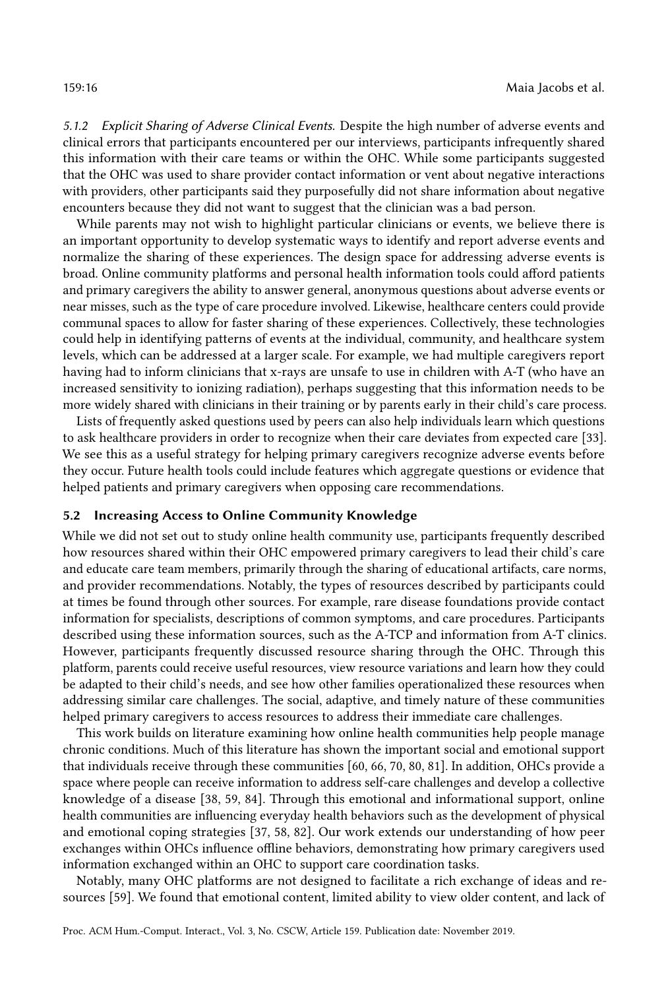5.1.2 Explicit Sharing of Adverse Clinical Events. Despite the high number of adverse events and clinical errors that participants encountered per our interviews, participants infrequently shared this information with their care teams or within the OHC. While some participants suggested that the OHC was used to share provider contact information or vent about negative interactions with providers, other participants said they purposefully did not share information about negative encounters because they did not want to suggest that the clinician was a bad person.

While parents may not wish to highlight particular clinicians or events, we believe there is an important opportunity to develop systematic ways to identify and report adverse events and normalize the sharing of these experiences. The design space for addressing adverse events is broad. Online community platforms and personal health information tools could afford patients and primary caregivers the ability to answer general, anonymous questions about adverse events or near misses, such as the type of care procedure involved. Likewise, healthcare centers could provide communal spaces to allow for faster sharing of these experiences. Collectively, these technologies could help in identifying patterns of events at the individual, community, and healthcare system levels, which can be addressed at a larger scale. For example, we had multiple caregivers report having had to inform clinicians that x-rays are unsafe to use in children with A-T (who have an increased sensitivity to ionizing radiation), perhaps suggesting that this information needs to be more widely shared with clinicians in their training or by parents early in their child's care process.

Lists of frequently asked questions used by peers can also help individuals learn which questions to ask healthcare providers in order to recognize when their care deviates from expected care [\[33\]](#page-19-19). We see this as a useful strategy for helping primary caregivers recognize adverse events before they occur. Future health tools could include features which aggregate questions or evidence that helped patients and primary caregivers when opposing care recommendations.

#### 5.2 Increasing Access to Online Community Knowledge

While we did not set out to study online health community use, participants frequently described how resources shared within their OHC empowered primary caregivers to lead their child's care and educate care team members, primarily through the sharing of educational artifacts, care norms, and provider recommendations. Notably, the types of resources described by participants could at times be found through other sources. For example, rare disease foundations provide contact information for specialists, descriptions of common symptoms, and care procedures. Participants described using these information sources, such as the A-TCP and information from A-T clinics. However, participants frequently discussed resource sharing through the OHC. Through this platform, parents could receive useful resources, view resource variations and learn how they could be adapted to their child's needs, and see how other families operationalized these resources when addressing similar care challenges. The social, adaptive, and timely nature of these communities helped primary caregivers to access resources to address their immediate care challenges.

This work builds on literature examining how online health communities help people manage chronic conditions. Much of this literature has shown the important social and emotional support that individuals receive through these communities [\[60,](#page-20-7) [66,](#page-21-6) [70,](#page-21-8) [80,](#page-21-7) [81\]](#page-21-17). In addition, OHCs provide a space where people can receive information to address self-care challenges and develop a collective knowledge of a disease [\[38,](#page-19-9) [59,](#page-20-8) [84\]](#page-21-18). Through this emotional and informational support, online health communities are influencing everyday health behaviors such as the development of physical and emotional coping strategies [\[37,](#page-19-20) [58,](#page-20-6) [82\]](#page-21-19). Our work extends our understanding of how peer exchanges within OHCs influence offline behaviors, demonstrating how primary caregivers used information exchanged within an OHC to support care coordination tasks.

Notably, many OHC platforms are not designed to facilitate a rich exchange of ideas and resources [\[59\]](#page-20-8). We found that emotional content, limited ability to view older content, and lack of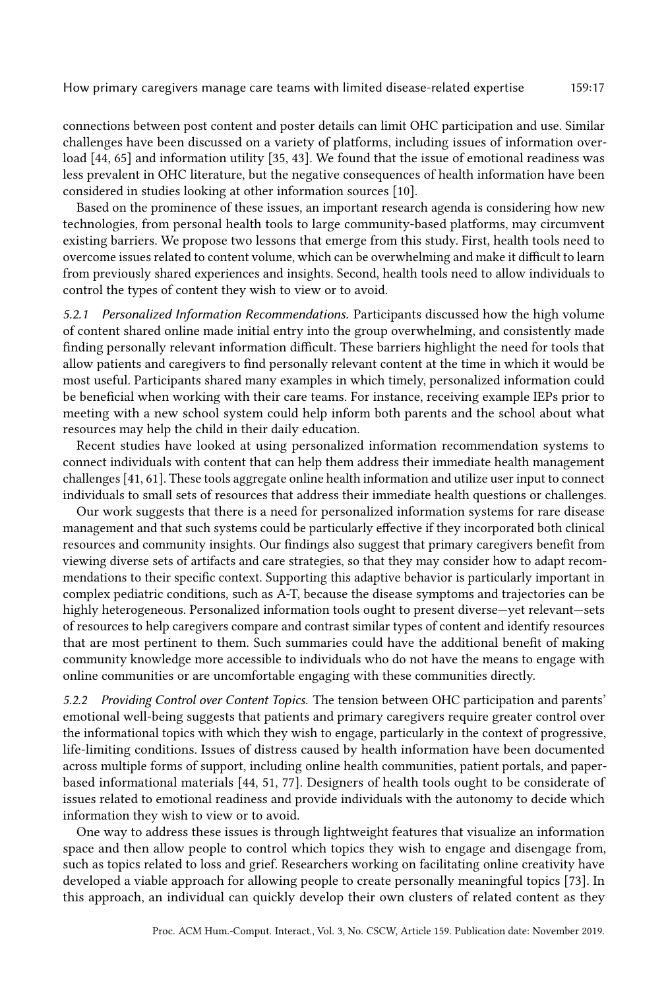connections between post content and poster details can limit OHC participation and use. Similar challenges have been discussed on a variety of platforms, including issues of information overload [\[44,](#page-20-18) [65\]](#page-21-16) and information utility [\[35,](#page-19-21) [43\]](#page-20-5). We found that the issue of emotional readiness was less prevalent in OHC literature, but the negative consequences of health information have been considered in studies looking at other information sources [\[10\]](#page-18-18).

Based on the prominence of these issues, an important research agenda is considering how new technologies, from personal health tools to large community-based platforms, may circumvent existing barriers. We propose two lessons that emerge from this study. First, health tools need to overcome issues related to content volume, which can be overwhelming and make it difficult to learn from previously shared experiences and insights. Second, health tools need to allow individuals to control the types of content they wish to view or to avoid.

5.2.1 Personalized Information Recommendations. Participants discussed how the high volume of content shared online made initial entry into the group overwhelming, and consistently made finding personally relevant information difficult. These barriers highlight the need for tools that allow patients and caregivers to find personally relevant content at the time in which it would be most useful. Participants shared many examples in which timely, personalized information could be beneficial when working with their care teams. For instance, receiving example IEPs prior to meeting with a new school system could help inform both parents and the school about what resources may help the child in their daily education.

Recent studies have looked at using personalized information recommendation systems to connect individuals with content that can help them address their immediate health management challenges [\[41,](#page-19-22) [61\]](#page-20-19). These tools aggregate online health information and utilize user input to connect individuals to small sets of resources that address their immediate health questions or challenges.

Our work suggests that there is a need for personalized information systems for rare disease management and that such systems could be particularly effective if they incorporated both clinical resources and community insights. Our findings also suggest that primary caregivers benefit from viewing diverse sets of artifacts and care strategies, so that they may consider how to adapt recommendations to their specific context. Supporting this adaptive behavior is particularly important in complex pediatric conditions, such as A-T, because the disease symptoms and trajectories can be highly heterogeneous. Personalized information tools ought to present diverse—yet relevant—sets of resources to help caregivers compare and contrast similar types of content and identify resources that are most pertinent to them. Such summaries could have the additional benefit of making community knowledge more accessible to individuals who do not have the means to engage with online communities or are uncomfortable engaging with these communities directly.

5.2.2 Providing Control over Content Topics. The tension between OHC participation and parents' emotional well-being suggests that patients and primary caregivers require greater control over the informational topics with which they wish to engage, particularly in the context of progressive, life-limiting conditions. Issues of distress caused by health information have been documented across multiple forms of support, including online health communities, patient portals, and paperbased informational materials [\[44,](#page-20-18) [51,](#page-20-20) [77\]](#page-21-20). Designers of health tools ought to be considerate of issues related to emotional readiness and provide individuals with the autonomy to decide which information they wish to view or to avoid.

One way to address these issues is through lightweight features that visualize an information space and then allow people to control which topics they wish to engage and disengage from, such as topics related to loss and grief. Researchers working on facilitating online creativity have developed a viable approach for allowing people to create personally meaningful topics [\[73\]](#page-21-21). In this approach, an individual can quickly develop their own clusters of related content as they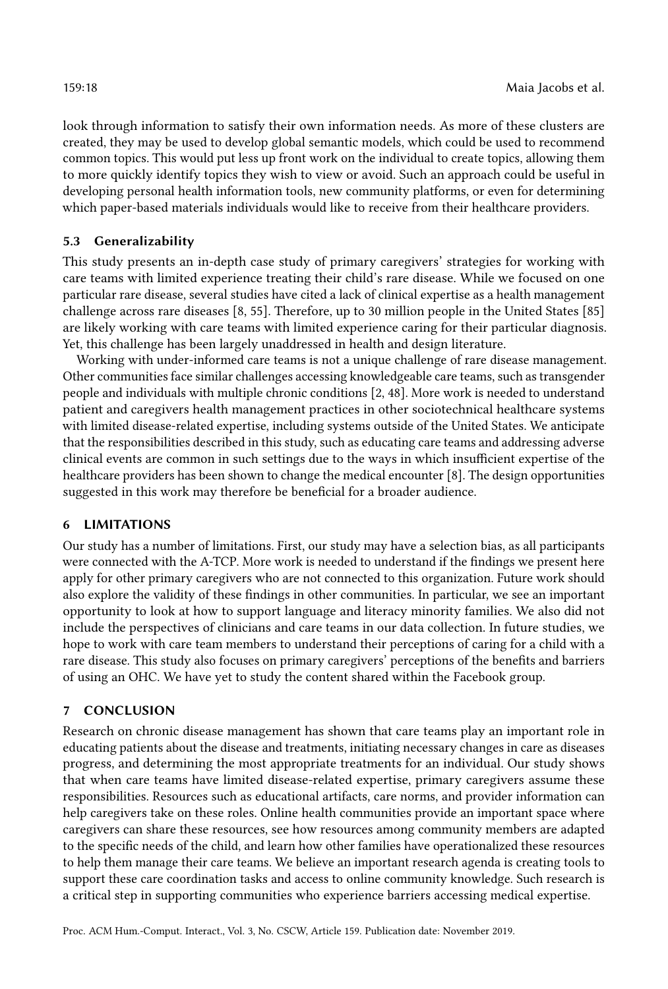look through information to satisfy their own information needs. As more of these clusters are created, they may be used to develop global semantic models, which could be used to recommend common topics. This would put less up front work on the individual to create topics, allowing them to more quickly identify topics they wish to view or avoid. Such an approach could be useful in developing personal health information tools, new community platforms, or even for determining which paper-based materials individuals would like to receive from their healthcare providers.

# 5.3 Generalizability

This study presents an in-depth case study of primary caregivers' strategies for working with care teams with limited experience treating their child's rare disease. While we focused on one particular rare disease, several studies have cited a lack of clinical expertise as a health management challenge across rare diseases [\[8,](#page-18-3) [55\]](#page-20-1). Therefore, up to 30 million people in the United States [\[85\]](#page-21-14) are likely working with care teams with limited experience caring for their particular diagnosis. Yet, this challenge has been largely unaddressed in health and design literature.

Working with under-informed care teams is not a unique challenge of rare disease management. Other communities face similar challenges accessing knowledgeable care teams, such as transgender people and individuals with multiple chronic conditions [\[2,](#page-18-11) [48\]](#page-20-21). More work is needed to understand patient and caregivers health management practices in other sociotechnical healthcare systems with limited disease-related expertise, including systems outside of the United States. We anticipate that the responsibilities described in this study, such as educating care teams and addressing adverse clinical events are common in such settings due to the ways in which insufficient expertise of the healthcare providers has been shown to change the medical encounter [\[8\]](#page-18-3). The design opportunities suggested in this work may therefore be beneficial for a broader audience.

# 6 LIMITATIONS

Our study has a number of limitations. First, our study may have a selection bias, as all participants were connected with the A-TCP. More work is needed to understand if the findings we present here apply for other primary caregivers who are not connected to this organization. Future work should also explore the validity of these findings in other communities. In particular, we see an important opportunity to look at how to support language and literacy minority families. We also did not include the perspectives of clinicians and care teams in our data collection. In future studies, we hope to work with care team members to understand their perceptions of caring for a child with a rare disease. This study also focuses on primary caregivers' perceptions of the benefits and barriers of using an OHC. We have yet to study the content shared within the Facebook group.

# 7 CONCLUSION

Research on chronic disease management has shown that care teams play an important role in educating patients about the disease and treatments, initiating necessary changes in care as diseases progress, and determining the most appropriate treatments for an individual. Our study shows that when care teams have limited disease-related expertise, primary caregivers assume these responsibilities. Resources such as educational artifacts, care norms, and provider information can help caregivers take on these roles. Online health communities provide an important space where caregivers can share these resources, see how resources among community members are adapted to the specific needs of the child, and learn how other families have operationalized these resources to help them manage their care teams. We believe an important research agenda is creating tools to support these care coordination tasks and access to online community knowledge. Such research is a critical step in supporting communities who experience barriers accessing medical expertise.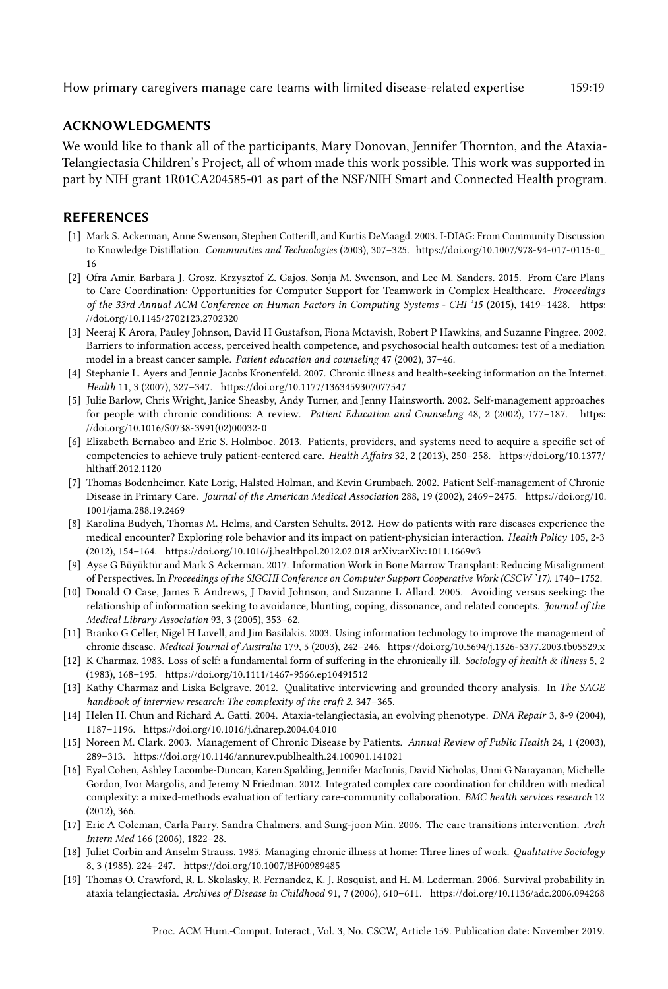### ACKNOWLEDGMENTS

We would like to thank all of the participants, Mary Donovan, Jennifer Thornton, and the Ataxia-Telangiectasia Children's Project, all of whom made this work possible. This work was supported in part by NIH grant 1R01CA204585-01 as part of the NSF/NIH Smart and Connected Health program.

#### REFERENCES

- <span id="page-18-17"></span>[1] Mark S. Ackerman, Anne Swenson, Stephen Cotterill, and Kurtis DeMaagd. 2003. I-DIAG: From Community Discussion to Knowledge Distillation. Communities and Technologies (2003), 307–325. [https://doi.org/10.1007/978-94-017-0115-0\\_](https://doi.org/10.1007/978-94-017-0115-0_16) [16](https://doi.org/10.1007/978-94-017-0115-0_16)
- <span id="page-18-11"></span>[2] Ofra Amir, Barbara J. Grosz, Krzysztof Z. Gajos, Sonja M. Swenson, and Lee M. Sanders. 2015. From Care Plans to Care Coordination: Opportunities for Computer Support for Teamwork in Complex Healthcare. Proceedings of the 33rd Annual ACM Conference on Human Factors in Computing Systems - CHI '15 (2015), 1419–1428. [https:](https://doi.org/10.1145/2702123.2702320) [//doi.org/10.1145/2702123.2702320](https://doi.org/10.1145/2702123.2702320)
- <span id="page-18-1"></span>[3] Neeraj K Arora, Pauley Johnson, David H Gustafson, Fiona Mctavish, Robert P Hawkins, and Suzanne Pingree. 2002. Barriers to information access, perceived health competence, and psychosocial health outcomes: test of a mediation model in a breast cancer sample. Patient education and counseling 47 (2002), 37–46.
- <span id="page-18-2"></span>[4] Stephanie L. Ayers and Jennie Jacobs Kronenfeld. 2007. Chronic illness and health-seeking information on the Internet. Health 11, 3 (2007), 327–347.<https://doi.org/10.1177/1363459307077547>
- <span id="page-18-12"></span>[5] Julie Barlow, Chris Wright, Janice Sheasby, Andy Turner, and Jenny Hainsworth. 2002. Self-management approaches for people with chronic conditions: A review. Patient Education and Counseling 48, 2 (2002), 177–187. [https:](https://doi.org/10.1016/S0738-3991(02)00032-0) [//doi.org/10.1016/S0738-3991\(02\)00032-0](https://doi.org/10.1016/S0738-3991(02)00032-0)
- <span id="page-18-6"></span>[6] Elizabeth Bernabeo and Eric S. Holmboe. 2013. Patients, providers, and systems need to acquire a specific set of competencies to achieve truly patient-centered care. Health Affairs 32, 2 (2013), 250–258. [https://doi.org/10.1377/](https://doi.org/10.1377/hlthaff.2012.1120) [hlthaff.2012.1120](https://doi.org/10.1377/hlthaff.2012.1120)
- <span id="page-18-14"></span>[7] Thomas Bodenheimer, Kate Lorig, Halsted Holman, and Kevin Grumbach. 2002. Patient Self-management of Chronic Disease in Primary Care. Journal of the American Medical Association 288, 19 (2002), 2469–2475. [https://doi.org/10.](https://doi.org/10.1001/jama.288.19.2469) [1001/jama.288.19.2469](https://doi.org/10.1001/jama.288.19.2469)
- <span id="page-18-3"></span>[8] Karolina Budych, Thomas M. Helms, and Carsten Schultz. 2012. How do patients with rare diseases experience the medical encounter? Exploring role behavior and its impact on patient-physician interaction. Health Policy 105, 2-3 (2012), 154–164.<https://doi.org/10.1016/j.healthpol.2012.02.018> arXiv[:arXiv:1011.1669v3](http://arxiv.org/abs/arXiv:1011.1669v3)
- <span id="page-18-13"></span>[9] Ayse G Büyüktür and Mark S Ackerman. 2017. Information Work in Bone Marrow Transplant: Reducing Misalignment of Perspectives. In Proceedings of the SIGCHI Conference on Computer Support Cooperative Work (CSCW '17). 1740–1752.
- <span id="page-18-18"></span>[10] Donald O Case, James E Andrews, J David Johnson, and Suzanne L Allard. 2005. Avoiding versus seeking: the relationship of information seeking to avoidance, blunting, coping, dissonance, and related concepts. Journal of the Medical Library Association 93, 3 (2005), 353–62.
- <span id="page-18-7"></span>[11] Branko G Celler, Nigel H Lovell, and Jim Basilakis. 2003. Using information technology to improve the management of chronic disease. Medical Journal of Australia 179, 5 (2003), 242–246.<https://doi.org/10.5694/j.1326-5377.2003.tb05529.x>
- <span id="page-18-15"></span>[12] K Charmaz. 1983. Loss of self: a fundamental form of suffering in the chronically ill. Sociology of health & illness 5, 2 (1983), 168–195.<https://doi.org/10.1111/1467-9566.ep10491512>
- <span id="page-18-10"></span>[13] Kathy Charmaz and Liska Belgrave. 2012. Qualitative interviewing and grounded theory analysis. In The SAGE handbook of interview research: The complexity of the craft 2. 347–365.
- <span id="page-18-8"></span>[14] Helen H. Chun and Richard A. Gatti. 2004. Ataxia-telangiectasia, an evolving phenotype. DNA Repair 3, 8-9 (2004), 1187–1196.<https://doi.org/10.1016/j.dnarep.2004.04.010>
- <span id="page-18-5"></span>[15] Noreen M. Clark. 2003. Management of Chronic Disease by Patients. Annual Review of Public Health 24, 1 (2003), 289–313.<https://doi.org/10.1146/annurev.publhealth.24.100901.141021>
- <span id="page-18-4"></span>[16] Eyal Cohen, Ashley Lacombe-Duncan, Karen Spalding, Jennifer MacInnis, David Nicholas, Unni G Narayanan, Michelle Gordon, Ivor Margolis, and Jeremy N Friedman. 2012. Integrated complex care coordination for children with medical complexity: a mixed-methods evaluation of tertiary care-community collaboration. BMC health services research 12 (2012), 366.
- <span id="page-18-16"></span>[17] Eric A Coleman, Carla Parry, Sandra Chalmers, and Sung-joon Min. 2006. The care transitions intervention. Arch Intern Med 166 (2006), 1822–28.
- <span id="page-18-0"></span>[18] Juliet Corbin and Anselm Strauss. 1985. Managing chronic illness at home: Three lines of work. Qualitative Sociology 8, 3 (1985), 224–247.<https://doi.org/10.1007/BF00989485>
- <span id="page-18-9"></span>[19] Thomas O. Crawford, R. L. Skolasky, R. Fernandez, K. J. Rosquist, and H. M. Lederman. 2006. Survival probability in ataxia telangiectasia. Archives of Disease in Childhood 91, 7 (2006), 610–611.<https://doi.org/10.1136/adc.2006.094268>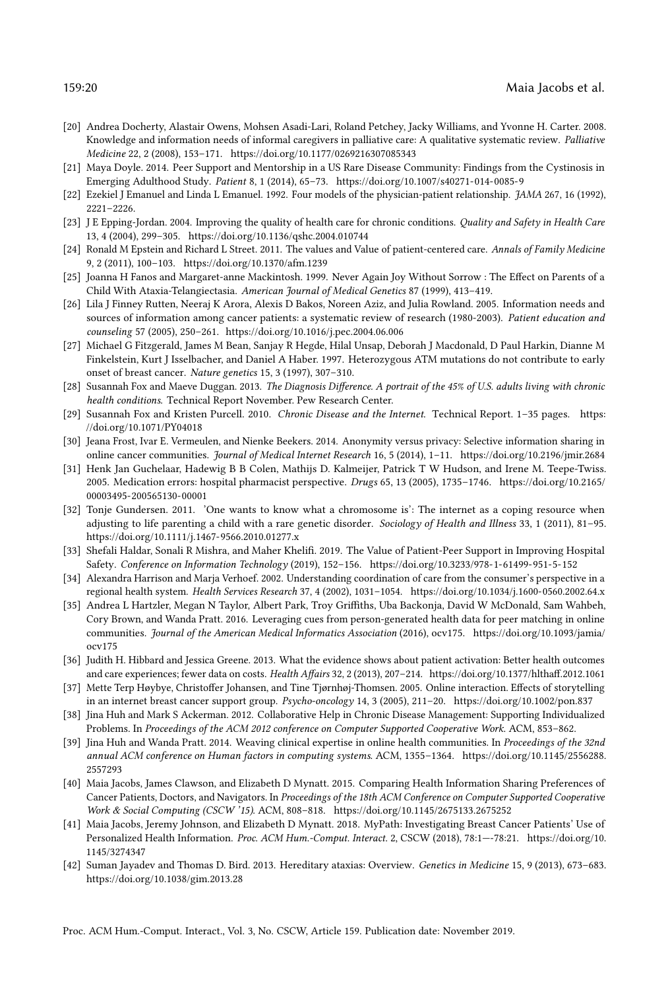- <span id="page-19-1"></span>[20] Andrea Docherty, Alastair Owens, Mohsen Asadi-Lari, Roland Petchey, Jacky Williams, and Yvonne H. Carter. 2008. Knowledge and information needs of informal caregivers in palliative care: A qualitative systematic review. Palliative Medicine 22, 2 (2008), 153–171.<https://doi.org/10.1177/0269216307085343>
- <span id="page-19-10"></span>[21] Maya Doyle. 2014. Peer Support and Mentorship in a US Rare Disease Community: Findings from the Cystinosis in Emerging Adulthood Study. Patient 8, 1 (2014), 65–73.<https://doi.org/10.1007/s40271-014-0085-9>
- <span id="page-19-6"></span>[22] Ezekiel J Emanuel and Linda L Emanuel. 1992. Four models of the physician-patient relationship. JAMA 267, 16 (1992), 2221–2226.
- <span id="page-19-3"></span>[23] J E Epping-Jordan. 2004. Improving the quality of health care for chronic conditions. Quality and Safety in Health Care 13, 4 (2004), 299–305.<https://doi.org/10.1136/qshc.2004.010744>
- <span id="page-19-7"></span>[24] Ronald M Epstein and Richard L Street. 2011. The values and Value of patient-centered care. Annals of Family Medicine 9, 2 (2011), 100–103.<https://doi.org/10.1370/afm.1239>
- <span id="page-19-14"></span>[25] Joanna H Fanos and Margaret-anne Mackintosh. 1999. Never Again Joy Without Sorrow : The Effect on Parents of a Child With Ataxia-Telangiectasia. American Journal of Medical Genetics 87 (1999), 413–419.
- <span id="page-19-0"></span>[26] Lila J Finney Rutten, Neeraj K Arora, Alexis D Bakos, Noreen Aziz, and Julia Rowland. 2005. Information needs and sources of information among cancer patients: a systematic review of research (1980-2003). Patient education and counseling 57 (2005), 250–261.<https://doi.org/10.1016/j.pec.2004.06.006>
- <span id="page-19-13"></span>[27] Michael G Fitzgerald, James M Bean, Sanjay R Hegde, Hilal Unsap, Deborah J Macdonald, D Paul Harkin, Dianne M Finkelstein, Kurt J Isselbacher, and Daniel A Haber. 1997. Heterozygous ATM mutations do not contribute to early onset of breast cancer. Nature genetics 15, 3 (1997), 307–310.
- <span id="page-19-4"></span>[28] Susannah Fox and Maeve Duggan. 2013. The Diagnosis Difference. A portrait of the 45% of U.S. adults living with chronic health conditions. Technical Report November. Pew Research Center.
- <span id="page-19-8"></span>[29] Susannah Fox and Kristen Purcell. 2010. Chronic Disease and the Internet. Technical Report. 1-35 pages. [https:](https://doi.org/10.1071/PY04018) [//doi.org/10.1071/PY04018](https://doi.org/10.1071/PY04018)
- <span id="page-19-17"></span>[30] Jeana Frost, Ivar E. Vermeulen, and Nienke Beekers. 2014. Anonymity versus privacy: Selective information sharing in online cancer communities. Journal of Medical Internet Research 16, 5 (2014), 1–11.<https://doi.org/10.2196/jmir.2684>
- <span id="page-19-16"></span>[31] Henk Jan Guchelaar, Hadewig B B Colen, Mathijs D. Kalmeijer, Patrick T W Hudson, and Irene M. Teepe-Twiss. 2005. Medication errors: hospital pharmacist perspective. Drugs 65, 13 (2005), 1735–1746. [https://doi.org/10.2165/](https://doi.org/10.2165/00003495-200565130-00001) [00003495-200565130-00001](https://doi.org/10.2165/00003495-200565130-00001)
- <span id="page-19-11"></span>[32] Tonje Gundersen. 2011. 'One wants to know what a chromosome is': The internet as a coping resource when adjusting to life parenting a child with a rare genetic disorder. Sociology of Health and Illness 33, 1 (2011), 81-95. <https://doi.org/10.1111/j.1467-9566.2010.01277.x>
- <span id="page-19-19"></span>[33] Shefali Haldar, Sonali R Mishra, and Maher Khelifi. 2019. The Value of Patient-Peer Support in Improving Hospital Safety. Conference on Information Technology (2019), 152–156.<https://doi.org/10.3233/978-1-61499-951-5-152>
- <span id="page-19-15"></span>[34] Alexandra Harrison and Marja Verhoef. 2002. Understanding coordination of care from the consumer's perspective in a regional health system. Health Services Research 37, 4 (2002), 1031–1054.<https://doi.org/10.1034/j.1600-0560.2002.64.x>
- <span id="page-19-21"></span>[35] Andrea L Hartzler, Megan N Taylor, Albert Park, Troy Griffiths, Uba Backonja, David W McDonald, Sam Wahbeh, Cory Brown, and Wanda Pratt. 2016. Leveraging cues from person-generated health data for peer matching in online communities. Journal of the American Medical Informatics Association (2016), ocv175. [https://doi.org/10.1093/jamia/](https://doi.org/10.1093/jamia/ocv175) [ocv175](https://doi.org/10.1093/jamia/ocv175)
- <span id="page-19-2"></span>[36] Judith H. Hibbard and Jessica Greene. 2013. What the evidence shows about patient activation: Better health outcomes and care experiences; fewer data on costs. Health Affairs 32, 2 (2013), 207–214.<https://doi.org/10.1377/hlthaff.2012.1061>
- <span id="page-19-20"></span>[37] Mette Terp Høybye, Christoffer Johansen, and Tine Tjørnhøj-Thomsen. 2005. Online interaction. Effects of storytelling in an internet breast cancer support group. Psycho-oncology 14, 3 (2005), 211–20.<https://doi.org/10.1002/pon.837>
- <span id="page-19-9"></span>[38] Jina Huh and Mark S Ackerman. 2012. Collaborative Help in Chronic Disease Management: Supporting Individualized Problems. In Proceedings of the ACM 2012 conference on Computer Supported Cooperative Work. ACM, 853–862.
- <span id="page-19-5"></span>[39] Jina Huh and Wanda Pratt. 2014. Weaving clinical expertise in online health communities. In Proceedings of the 32nd annual ACM conference on Human factors in computing systems. ACM, 1355–1364. [https://doi.org/10.1145/2556288.](https://doi.org/10.1145/2556288.2557293) [2557293](https://doi.org/10.1145/2556288.2557293)
- <span id="page-19-18"></span>[40] Maia Jacobs, James Clawson, and Elizabeth D Mynatt. 2015. Comparing Health Information Sharing Preferences of Cancer Patients, Doctors, and Navigators. In Proceedings of the 18th ACM Conference on Computer Supported Cooperative Work & Social Computing (CSCW '15). ACM, 808–818.<https://doi.org/10.1145/2675133.2675252>
- <span id="page-19-22"></span>[41] Maia Jacobs, Jeremy Johnson, and Elizabeth D Mynatt. 2018. MyPath: Investigating Breast Cancer Patients' Use of Personalized Health Information. Proc. ACM Hum.-Comput. Interact. 2, CSCW (2018), 78:1—-78:21. [https://doi.org/10.](https://doi.org/10.1145/3274347) [1145/3274347](https://doi.org/10.1145/3274347)
- <span id="page-19-12"></span>[42] Suman Jayadev and Thomas D. Bird. 2013. Hereditary ataxias: Overview. Genetics in Medicine 15, 9 (2013), 673–683. <https://doi.org/10.1038/gim.2013.28>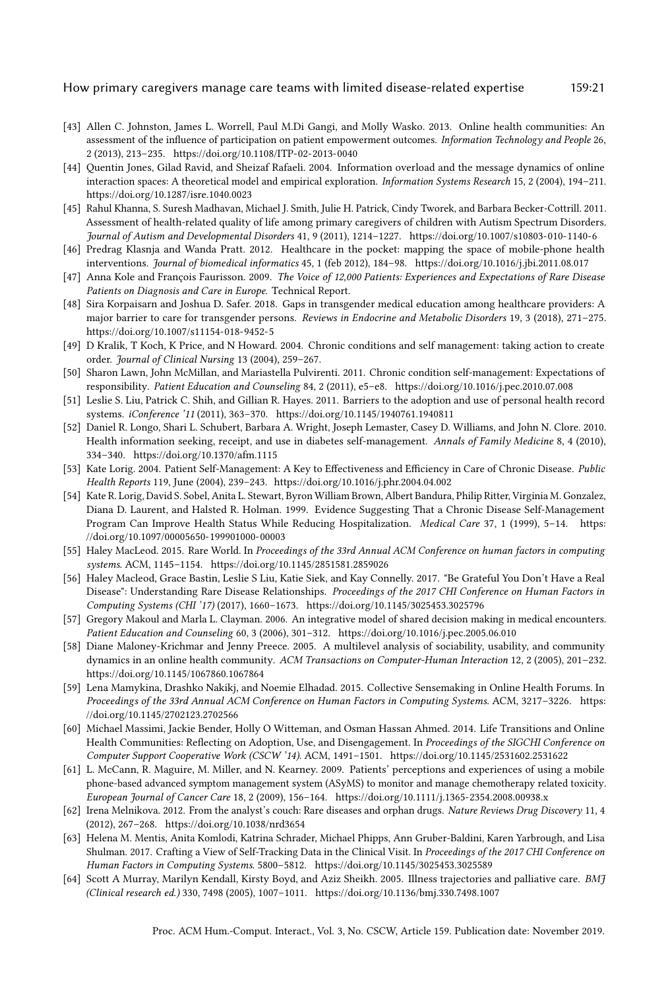- <span id="page-20-5"></span>[43] Allen C. Johnston, James L. Worrell, Paul M.Di Gangi, and Molly Wasko. 2013. Online health communities: An assessment of the influence of participation on patient empowerment outcomes. Information Technology and People 26, 2 (2013), 213–235.<https://doi.org/10.1108/ITP-02-2013-0040>
- <span id="page-20-18"></span>[44] Quentin Jones, Gilad Ravid, and Sheizaf Rafaeli. 2004. Information overload and the message dynamics of online interaction spaces: A theoretical model and empirical exploration. Information Systems Research 15, 2 (2004), 194–211. <https://doi.org/10.1287/isre.1040.0023>
- <span id="page-20-2"></span>[45] Rahul Khanna, S. Suresh Madhavan, Michael J. Smith, Julie H. Patrick, Cindy Tworek, and Barbara Becker-Cottrill. 2011. Assessment of health-related quality of life among primary caregivers of children with Autism Spectrum Disorders. Journal of Autism and Developmental Disorders 41, 9 (2011), 1214–1227.<https://doi.org/10.1007/s10803-010-1140-6>
- <span id="page-20-4"></span>[46] Predrag Klasnja and Wanda Pratt. 2012. Healthcare in the pocket: mapping the space of mobile-phone health interventions. Journal of biomedical informatics 45, 1 (feb 2012), 184–98.<https://doi.org/10.1016/j.jbi.2011.08.017>
- <span id="page-20-11"></span>[47] Anna Kole and François Faurisson. 2009. The Voice of 12,000 Patients: Experiences and Expectations of Rare Disease Patients on Diagnosis and Care in Europe. Technical Report.
- <span id="page-20-21"></span>[48] Sira Korpaisarn and Joshua D. Safer. 2018. Gaps in transgender medical education among healthcare providers: A major barrier to care for transgender persons. Reviews in Endocrine and Metabolic Disorders 19, 3 (2018), 271–275. <https://doi.org/10.1007/s11154-018-9452-5>
- <span id="page-20-12"></span>[49] D Kralik, T Koch, K Price, and N Howard. 2004. Chronic conditions and self management: taking action to create order. Journal of Clinical Nursing 13 (2004), 259–267.
- <span id="page-20-14"></span>[50] Sharon Lawn, John McMillan, and Mariastella Pulvirenti. 2011. Chronic condition self-management: Expectations of responsibility. Patient Education and Counseling 84, 2 (2011), e5–e8.<https://doi.org/10.1016/j.pec.2010.07.008>
- <span id="page-20-20"></span>[51] Leslie S. Liu, Patrick C. Shih, and Gillian R. Hayes. 2011. Barriers to the adoption and use of personal health record systems. iConference '11 (2011), 363–370.<https://doi.org/10.1145/1940761.1940811>
- <span id="page-20-0"></span>[52] Daniel R. Longo, Shari L. Schubert, Barbara A. Wright, Joseph Lemaster, Casey D. Williams, and John N. Clore. 2010. Health information seeking, receipt, and use in diabetes self-management. Annals of Family Medicine 8, 4 (2010), 334–340.<https://doi.org/10.1370/afm.1115>
- <span id="page-20-15"></span>[53] Kate Lorig. 2004. Patient Self-Management: A Key to Effectiveness and Efficiency in Care of Chronic Disease. Public Health Reports 119, June (2004), 239–243.<https://doi.org/10.1016/j.phr.2004.04.002>
- <span id="page-20-16"></span>[54] Kate R. Lorig, David S. Sobel, Anita L. Stewart, Byron William Brown, Albert Bandura, Philip Ritter, Virginia M. Gonzalez, Diana D. Laurent, and Halsted R. Holman. 1999. Evidence Suggesting That a Chronic Disease Self-Management Program Can Improve Health Status While Reducing Hospitalization. Medical Care 37, 1 (1999), 5-14. [https:](https://doi.org/10.1097/00005650-199901000-00003) [//doi.org/10.1097/00005650-199901000-00003](https://doi.org/10.1097/00005650-199901000-00003)
- <span id="page-20-1"></span>[55] Haley MacLeod. 2015. Rare World. In Proceedings of the 33rd Annual ACM Conference on human factors in computing systems. ACM, 1145–1154.<https://doi.org/10.1145/2851581.2859026>
- <span id="page-20-9"></span>[56] Haley Macleod, Grace Bastin, Leslie S Liu, Katie Siek, and Kay Connelly. 2017. "Be Grateful You Don't Have a Real Disease": Understanding Rare Disease Relationships. Proceedings of the 2017 CHI Conference on Human Factors in Computing Systems (CHI '17) (2017), 1660–1673.<https://doi.org/10.1145/3025453.3025796>
- <span id="page-20-3"></span>[57] Gregory Makoul and Marla L. Clayman. 2006. An integrative model of shared decision making in medical encounters. Patient Education and Counseling 60, 3 (2006), 301–312.<https://doi.org/10.1016/j.pec.2005.06.010>
- <span id="page-20-6"></span>[58] Diane Maloney-Krichmar and Jenny Preece. 2005. A multilevel analysis of sociability, usability, and community dynamics in an online health community. ACM Transactions on Computer-Human Interaction 12, 2 (2005), 201–232. <https://doi.org/10.1145/1067860.1067864>
- <span id="page-20-8"></span>[59] Lena Mamykina, Drashko Nakikj, and Noemie Elhadad. 2015. Collective Sensemaking in Online Health Forums. In Proceedings of the 33rd Annual ACM Conference on Human Factors in Computing Systems. ACM, 3217–3226. [https:](https://doi.org/10.1145/2702123.2702566) [//doi.org/10.1145/2702123.2702566](https://doi.org/10.1145/2702123.2702566)
- <span id="page-20-7"></span>[60] Michael Massimi, Jackie Bender, Holly O Witteman, and Osman Hassan Ahmed. 2014. Life Transitions and Online Health Communities: Reflecting on Adoption, Use, and Disengagement. In Proceedings of the SIGCHI Conference on Computer Support Cooperative Work (CSCW '14). ACM, 1491–1501.<https://doi.org/10.1145/2531602.2531622>
- <span id="page-20-19"></span>[61] L. McCann, R. Maguire, M. Miller, and N. Kearney. 2009. Patients' perceptions and experiences of using a mobile phone-based advanced symptom management system (ASyMS) to monitor and manage chemotherapy related toxicity. European Journal of Cancer Care 18, 2 (2009), 156–164.<https://doi.org/10.1111/j.1365-2354.2008.00938.x>
- <span id="page-20-10"></span>[62] Irena Melnikova. 2012. From the analyst's couch: Rare diseases and orphan drugs. Nature Reviews Drug Discovery 11, 4 (2012), 267–268.<https://doi.org/10.1038/nrd3654>
- <span id="page-20-17"></span>[63] Helena M. Mentis, Anita Komlodi, Katrina Schrader, Michael Phipps, Ann Gruber-Baldini, Karen Yarbrough, and Lisa Shulman. 2017. Crafting a View of Self-Tracking Data in the Clinical Visit. In Proceedings of the 2017 CHI Conference on Human Factors in Computing Systems. 5800–5812.<https://doi.org/10.1145/3025453.3025589>
- <span id="page-20-13"></span>[64] Scott A Murray, Marilyn Kendall, Kirsty Boyd, and Aziz Sheikh. 2005. Illness trajectories and palliative care. BMJ (Clinical research ed.) 330, 7498 (2005), 1007–1011.<https://doi.org/10.1136/bmj.330.7498.1007>